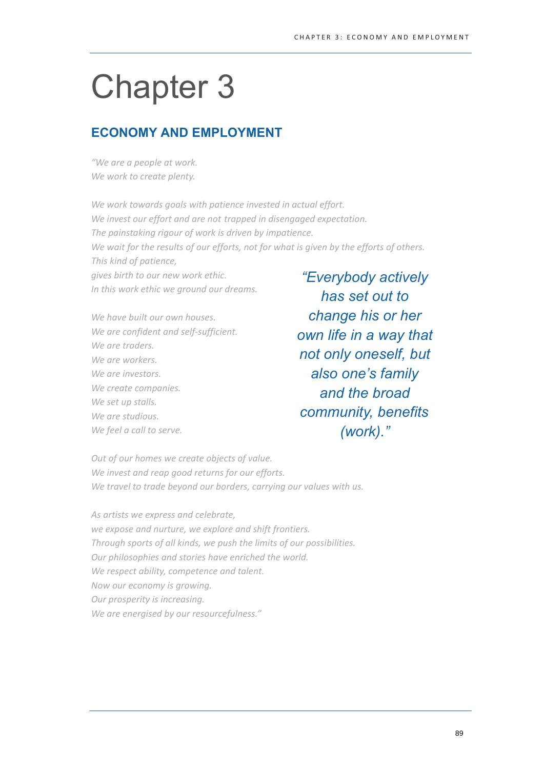# **Chapter 3**

# **ECONOMY AND EMPLOYMENT**

"We are a people at work. We work to create plenty.

We work towards goals with patience invested in actual effort. We invest our effort and are not trapped in disengaged expectation. The painstaking rigour of work is driven by impatience. We wait for the results of our efforts, not for what is given by the efforts of others. This kind of patience, gives birth to our new work ethic. "Everybody actively In this work ethic we around our dreams.

We have built our own houses. We are confident and self-sufficient. We are traders. We are workers. We are investors. We create companies. We set up stalls. We are studious. We feel a call to serve.

has set out to change his or her own life in a way that not only oneself, but also one's family and the broad community, benefits  $(work).$ "

Out of our homes we create objects of value. We invest and reap good returns for our efforts. We travel to trade beyond our borders, carrying our values with us.

As artists we express and celebrate, we expose and nurture, we explore and shift frontiers. Through sports of all kinds, we push the limits of our possibilities. Our philosophies and stories have enriched the world. We respect ability, competence and talent. Now our economy is growing. Our prosperity is increasing. We are energised by our resourcefulness."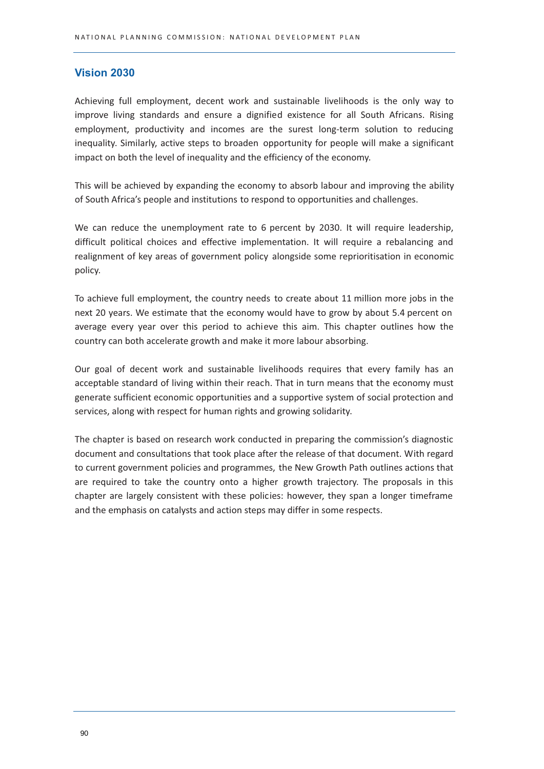# **Vision 2030**

Achieving full employment, decent work and sustainable livelihoods is the only way to improve living standards and ensure a dignified existence for all South Africans. Rising employment, productivity and incomes are the surest long-term solution to reducing inequality. Similarly, active steps to broaden opportunity for people will make a significant impact on both the level of inequality and the efficiency of the economy.

This will be achieved by expanding the economy to absorb labour and improving the ability of South Africa's people and institutions to respond to opportunities and challenges.

We can reduce the unemployment rate to 6 percent by 2030. It will require leadership, difficult political choices and effective implementation. It will require a rebalancing and realignment of key areas of government policy alongside some reprioritisation in economic policy.

To achieve full employment, the country needs to create about 11 million more jobs in the next 20 years. We estimate that the economy would have to grow by about 5.4 percent on average every year over this period to achieve this aim. This chapter outlines how the country can both accelerate growth and make it more labour absorbing.

Our goal of decent work and sustainable livelihoods requires that every family has an acceptable standard of living within their reach. That in turn means that the economy must generate sufficient economic opportunities and a supportive system of social protection and services, along with respect for human rights and growing solidarity.

The chapter is based on research work conducted in preparing the commission's diagnostic document and consultations that took place after the release of that document. With regard to current government policies and programmes, the New Growth Path outlines actions that are required to take the country onto a higher growth trajectory. The proposals in this chapter are largely consistent with these policies: however, they span a longer timeframe and the emphasis on catalysts and action steps may differ in some respects.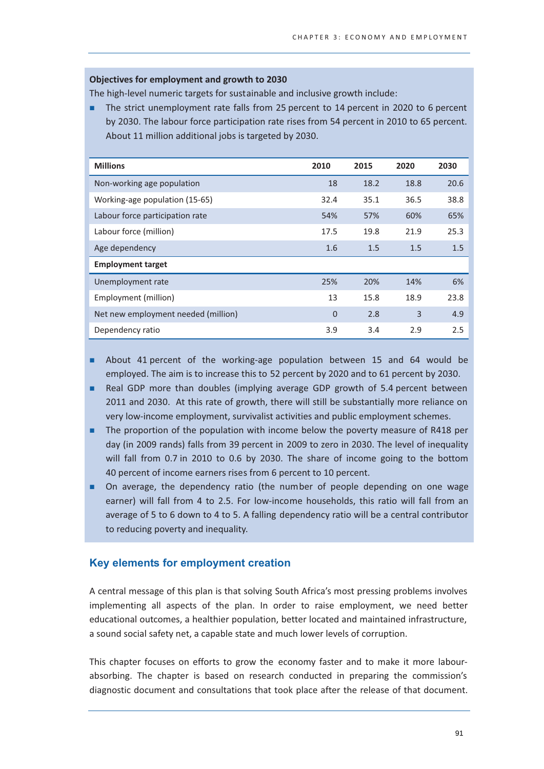# Objectives for employment and growth to 2030

The high-level numeric targets for sustainable and inclusive growth include:

The strict unemployment rate falls from 25 percent to 14 percent in 2020 to 6 percent by 2030. The labour force participation rate rises from 54 percent in 2010 to 65 percent. About 11 million additional jobs is targeted by 2030.

| <b>Millions</b>                     | 2010 | 2015 | 2020 | 2030 |
|-------------------------------------|------|------|------|------|
| Non-working age population          | 18   | 18.2 | 18.8 | 20.6 |
| Working-age population (15-65)      | 32.4 | 35.1 | 36.5 | 38.8 |
| Labour force participation rate     | 54%  | 57%  | 60%  | 65%  |
| Labour force (million)              | 17.5 | 19.8 | 21.9 | 25.3 |
| Age dependency                      | 1.6  | 1.5  | 1.5  | 1.5  |
| <b>Employment target</b>            |      |      |      |      |
| Unemployment rate                   | 25%  | 20%  | 14%  | 6%   |
| Employment (million)                | 13   | 15.8 | 18.9 | 23.8 |
| Net new employment needed (million) | 0    | 2.8  | 3    | 4.9  |
| Dependency ratio                    | 3.9  | 3.4  | 2.9  | 2.5  |

- About 41 percent of the working-age population between 15 and 64 would be employed. The aim is to increase this to 52 percent by 2020 and to 61 percent by 2030.
- Real GDP more than doubles (implying average GDP growth of 5.4 percent between 2011 and 2030. At this rate of growth, there will still be substantially more reliance on very low-income employment, survivalist activities and public employment schemes.
- $\blacksquare$  The proportion of the population with income below the poverty measure of R418 per day (in 2009 rands) falls from 39 percent in 2009 to zero in 2030. The level of inequality will fall from 0.7 in 2010 to 0.6 by 2030. The share of income going to the bottom 40 percent of income earners rises from 6 percent to 10 percent.
- On average, the dependency ratio (the number of people depending on one wage earner) will fall from 4 to 2.5. For low-income households, this ratio will fall from an average of 5 to 6 down to 4 to 5. A falling dependency ratio will be a central contributor to reducing poverty and inequality.

# Key elements for employment creation

A central message of this plan is that solving South Africa's most pressing problems involves implementing all aspects of the plan. In order to raise employment, we need better educational outcomes, a healthier population, better located and maintained infrastructure, a sound social safety net, a capable state and much lower levels of corruption.

This chapter focuses on efforts to grow the economy faster and to make it more labourabsorbing. The chapter is based on research conducted in preparing the commission's diagnostic document and consultations that took place after the release of that document.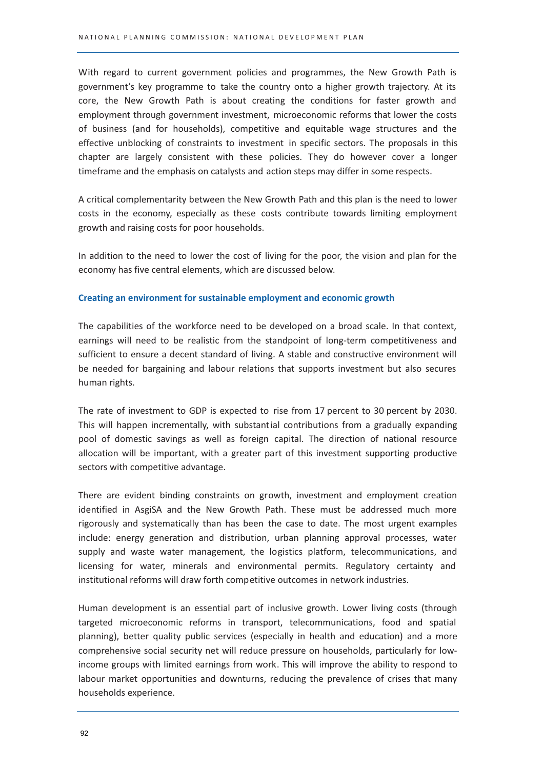With regard to current government policies and programmes, the New Growth Path is government's key programme to take the country onto a higher growth trajectory. At its core, the New Growth Path is about creating the conditions for faster growth and employment through government investment, microeconomic reforms that lower the costs of business (and for households), competitive and equitable wage structures and the effective unblocking of constraints to investment in specific sectors. The proposals in this chapter are largely consistent with these policies. They do however cover a longer time frame and the emphasis on catalysts and action steps may differ in some respects.

A critical complementarity between the New Growth Path and this plan is the need to lower costs in the economy, especially as these costs contribute towards limiting employment growth and raising costs for poor households.

In addition to the need to lower the cost of living for the poor, the vision and plan for the economy has five central elements, which are discussed below.

#### Creating an environment for sustainable employment and economic growth

The capabilities of the workforce need to be developed on a broad scale. In that context, earnings will need to be realistic from the standpoint of long-term competitiveness and sufficient to ensure a decent standard of living. A stable and constructive environment will be needed for bargaining and labour relations that supports investment but also secures human rights.

The rate of investment to GDP is expected to rise from 17 percent to 30 percent by 2030. This will happen incrementally, with substantial contributions from a gradually expanding pool of domestic savings as well as foreign capital. The direction of national resource allocation will be important, with a greater part of this investment supporting productive sectors with competitive advantage.

There are evident binding constraints on growth, investment and employment creation identified in AsgiSA and the New Growth Path. These must be addressed much more rigorously and systematically than has been the case to date. The most urgent examples include: energy generation and distribution, urban planning approval processes, water supply and waste water management, the logistics platform, telecommunications, and licensing for water, minerals and environmental permits. Regulatory certainty and institutional reforms will draw forth competitive outcomes in network industries.

Human development is an essential part of inclusive growth. Lower living costs (through targeted microeconomic reforms in transport, telecommunications, food and spatial planning), better quality public services (especially in health and education) and a more comprehensive social security net will reduce pressure on households, particularly for lowincome groups with limited earnings from work. This will improve the ability to respond to labour market opportunities and downturns, reducing the prevalence of crises that many households experience.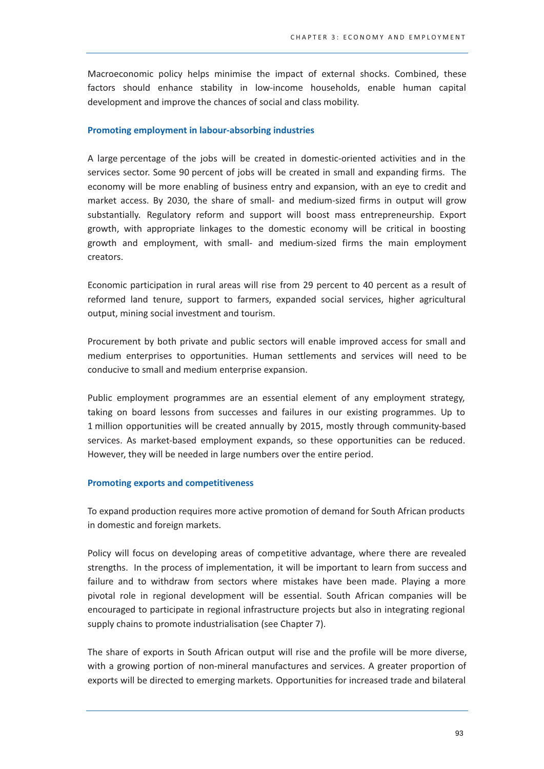Macroeconomic policy helps minimise the impact of external shocks. Combined, these factors should enhance stability in low-income households, enable human capital development and improve the chances of social and class mobility.

## Promoting employment in labour-absorbing industries

A large percentage of the jobs will be created in domestic-oriented activities and in the services sector. Some 90 percent of jobs will be created in small and expanding firms. The economy will be more enabling of business entry and expansion, with an eve to credit and market access. By 2030, the share of small- and medium-sized firms in output will grow substantially. Regulatory reform and support will boost mass entrepreneurship. Export growth, with appropriate linkages to the domestic economy will be critical in boosting growth and employment, with small- and medium-sized firms the main employment creators.

Economic participation in rural areas will rise from 29 percent to 40 percent as a result of reformed land tenure, support to farmers, expanded social services, higher agricultural output, mining social investment and tourism.

Procurement by both private and public sectors will enable improved access for small and medium enterprises to opportunities. Human settlements and services will need to be conducive to small and medium enterprise expansion.

Public employment programmes are an essential element of any employment strategy, taking on board lessons from successes and failures in our existing programmes. Up to 1 million opportunities will be created annually by 2015, mostly through community-based services. As market-based employment expands, so these opportunities can be reduced. However, they will be needed in large numbers over the entire period.

# **Promoting exports and competitiveness**

To expand production requires more active promotion of demand for South African products in domestic and foreign markets.

Policy will focus on developing areas of competitive advantage, where there are revealed strengths. In the process of implementation, it will be important to learn from success and failure and to withdraw from sectors where mistakes have been made. Playing a more pivotal role in regional development will be essential. South African companies will be encouraged to participate in regional infrastructure projects but also in integrating regional supply chains to promote industrialisation (see Chapter 7).

The share of exports in South African output will rise and the profile will be more diverse, with a growing portion of non-mineral manufactures and services. A greater proportion of exports will be directed to emerging markets. Opportunities for increased trade and bilateral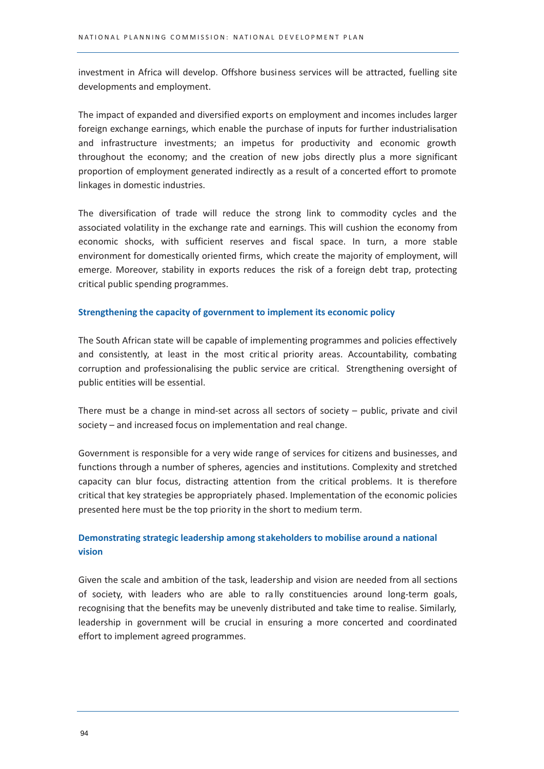investment in Africa will develop. Offshore business services will be attracted, fuelling site developments and employment.

The impact of expanded and diversified exports on employment and incomes includes larger foreign exchange earnings, which enable the purchase of inputs for further industrialisation and infrastructure investments; an impetus for productivity and economic growth throughout the economy; and the creation of new jobs directly plus a more significant proportion of employment generated indirectly as a result of a concerted effort to promote linkages in domestic industries.

The diversification of trade will reduce the strong link to commodity cycles and the associated volatility in the exchange rate and earnings. This will cushion the economy from economic shocks, with sufficient reserves and fiscal space. In turn, a more stable environment for domestically oriented firms, which create the majority of employment, will emerge. Moreover, stability in exports reduces the risk of a foreign debt trap, protecting critical public spending programmes.

## Strengthening the capacity of government to implement its economic policy

The South African state will be capable of implementing programmes and policies effectively and consistently, at least in the most critical priority areas. Accountability, combating corruption and professionalising the public service are critical. Strengthening oversight of public entities will be essential.

There must be a change in mind-set across all sectors of society - public, private and civil society - and increased focus on implementation and real change.

Government is responsible for a very wide range of services for citizens and businesses, and functions through a number of spheres, agencies and institutions. Complexity and stretched capacity can blur focus, distracting attention from the critical problems. It is therefore critical that key strategies be appropriately phased. Implementation of the economic policies presented here must be the top priority in the short to medium term.

# Demonstrating strategic leadership among stakeholders to mobilise around a national vision

Given the scale and ambition of the task, leadership and vision are needed from all sections of society, with leaders who are able to rally constituencies around long-term goals, recognising that the benefits may be unevenly distributed and take time to realise. Similarly, leadership in government will be crucial in ensuring a more concerted and coordinated effort to implement agreed programmes.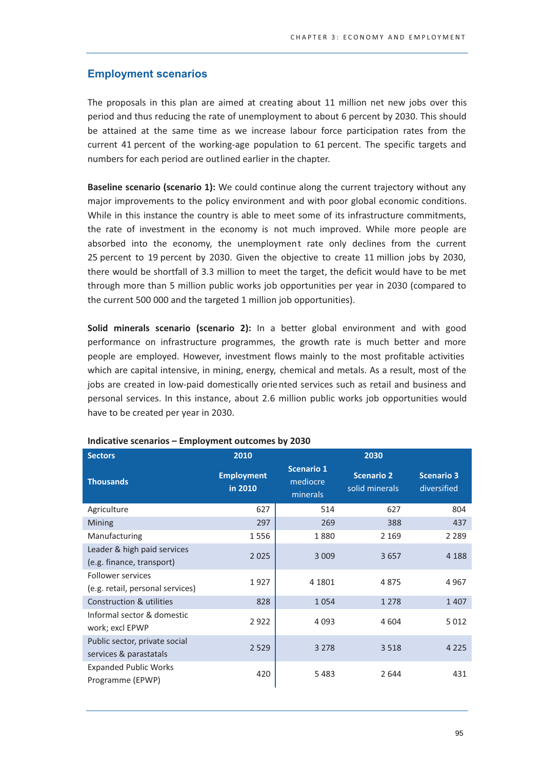# **Employment scenarios**

The proposals in this plan are aimed at creating about 11 million net new jobs over this period and thus reducing the rate of unemployment to about 6 percent by 2030. This should be attained at the same time as we increase labour force participation rates from the current 41 percent of the working-age population to 61 percent. The specific targets and numbers for each period are outlined earlier in the chapter.

**Baseline scenario (scenario 1):** We could continue along the current trajectory without any major improvements to the policy environment and with poor global economic conditions. While in this instance the country is able to meet some of its infrastructure commitments, the rate of investment in the economy is not much improved. While more people are absorbed into the economy, the unemployment rate only declines from the current 25 percent to 19 percent by 2030. Given the objective to create 11 million jobs by 2030, there would be shortfall of 3.3 million to meet the target, the deficit would have to be met through more than 5 million public works job opportunities per year in 2030 (compared to the current 500 000 and the targeted 1 million job opportunities).

Solid minerals scenario (scenario 2): In a better global environment and with good performance on infrastructure programmes, the growth rate is much better and more people are employed. However, investment flows mainly to the most profitable activities which are capital intensive, in mining, energy, chemical and metals. As a result, most of the jobs are created in low-paid domestically oriented services such as retail and business and personal services. In this instance, about 2.6 million public works job opportunities would have to be created per year in 2030.

| Sectors                                                  | <b>2010</b>                  | 2030                                      |                                     |                                  |
|----------------------------------------------------------|------------------------------|-------------------------------------------|-------------------------------------|----------------------------------|
| <b>Thousands</b>                                         | <b>Employment</b><br>in 2010 | <b>Scenario 1</b><br>mediocre<br>minerals | <b>Scenario 2</b><br>solid minerals | <b>Scenario 3</b><br>diversified |
| Agriculture                                              | 627                          | 514                                       | 627                                 | 804                              |
| Mining                                                   | 297                          | 269                                       | 388                                 | 437                              |
| Manufacturing                                            | 1556                         | 1880                                      | 2 1 6 9                             | 2 2 8 9                          |
| Leader & high paid services<br>(e.g. finance, transport) | 2025                         | 3 0 0 9                                   | 3657                                | 4 1 8 8                          |
| Follower services<br>(e.g. retail, personal services)    | 1927                         | 4 1801                                    | 4875                                | 4967                             |
| <b>Construction &amp; utilities</b>                      | 828                          | 1054                                      | 1 2 7 8                             | 1407                             |
| Informal sector & domestic<br>work; excl EPWP            | 2922                         | 4 0 9 3                                   | 4 604                               | 5 0 1 2                          |
| Public sector, private social<br>services & parastatals  | 2 5 2 9                      | 3 2 7 8                                   | 3 5 1 8                             | 4 2 2 5                          |
| <b>Expanded Public Works</b><br>Programme (EPWP)         | 420                          | 5483                                      | 2644                                | 431                              |

#### Indicative scenarios - Employment outcomes by 2030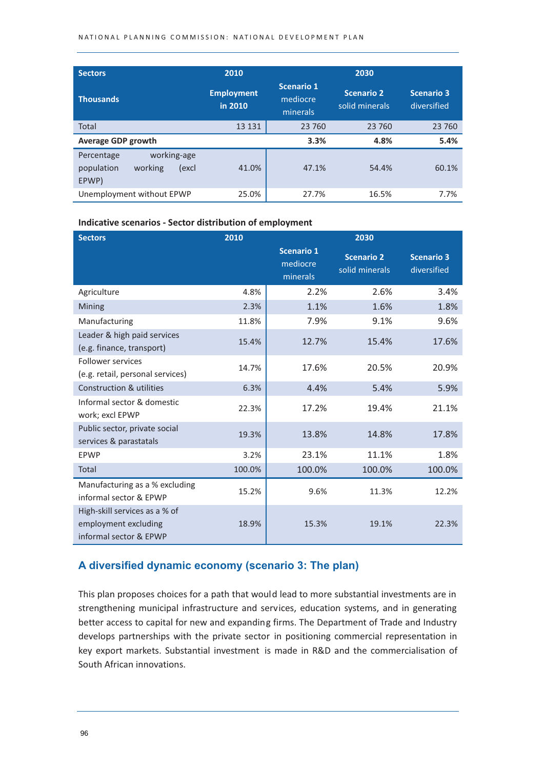| <b>Sectors</b>                                                       | 2010                         |                                           | 2030                                |                                  |
|----------------------------------------------------------------------|------------------------------|-------------------------------------------|-------------------------------------|----------------------------------|
| <b>Thousands</b>                                                     | <b>Employment</b><br>in 2010 | <b>Scenario 1</b><br>mediocre<br>minerals | <b>Scenario 2</b><br>solid minerals | <b>Scenario 3</b><br>diversified |
| Total                                                                | 13 131                       | 23 760                                    | 23 760                              | 23 760                           |
| <b>Average GDP growth</b>                                            |                              | 3.3%                                      | 4.8%                                | 5.4%                             |
| working-age<br>Percentage<br>population<br>working<br>(excl<br>EPWP) | 41.0%                        | 47.1%                                     | 54.4%                               | 60.1%                            |
| Unemployment without EPWP                                            | 25.0%                        | 27.7%                                     | 16.5%                               | 7.7%                             |

#### Indicative scenarios - Sector distribution of employment

| <b>Sectors</b>                                                                  | 2010   | 2030                                      |                                     |                                  |  |
|---------------------------------------------------------------------------------|--------|-------------------------------------------|-------------------------------------|----------------------------------|--|
|                                                                                 |        | <b>Scenario 1</b><br>mediocre<br>minerals | <b>Scenario 2</b><br>solid minerals | <b>Scenario 3</b><br>diversified |  |
| Agriculture                                                                     | 4.8%   | 2.2%                                      | 2.6%                                | 3.4%                             |  |
| Mining                                                                          | 2.3%   | 1.1%                                      | 1.6%                                | 1.8%                             |  |
| Manufacturing                                                                   | 11.8%  | 7.9%                                      | 9.1%                                | 9.6%                             |  |
| Leader & high paid services<br>(e.g. finance, transport)                        | 15.4%  | 12.7%                                     | 15.4%                               | 17.6%                            |  |
| <b>Follower services</b><br>(e.g. retail, personal services)                    | 14.7%  | 17.6%                                     | 20.5%                               | 20.9%                            |  |
| <b>Construction &amp; utilities</b>                                             | 6.3%   | 4.4%                                      | 5.4%                                | 5.9%                             |  |
| Informal sector & domestic<br>work; excl EPWP                                   | 22.3%  | 17.2%                                     | 19.4%                               | 21.1%                            |  |
| Public sector, private social<br>services & parastatals                         | 19.3%  | 13.8%                                     | 14.8%                               | 17.8%                            |  |
| EPWP                                                                            | 3.2%   | 23.1%                                     | 11.1%                               | 1.8%                             |  |
| <b>Total</b>                                                                    | 100.0% | 100.0%                                    | 100.0%                              | 100.0%                           |  |
| Manufacturing as a % excluding<br>informal sector & EPWP                        | 15.2%  | 9.6%                                      | 11.3%                               | 12.2%                            |  |
| High-skill services as a % of<br>employment excluding<br>informal sector & EPWP | 18.9%  | 15.3%                                     | 19.1%                               | 22.3%                            |  |

# A diversified dynamic economy (scenario 3: The plan)

This plan proposes choices for a path that would lead to more substantial investments are in strengthening municipal infrastructure and services, education systems, and in generating better access to capital for new and expanding firms. The Department of Trade and Industry develops partnerships with the private sector in positioning commercial representation in key export markets. Substantial investment is made in R&D and the commercialisation of South African innovations.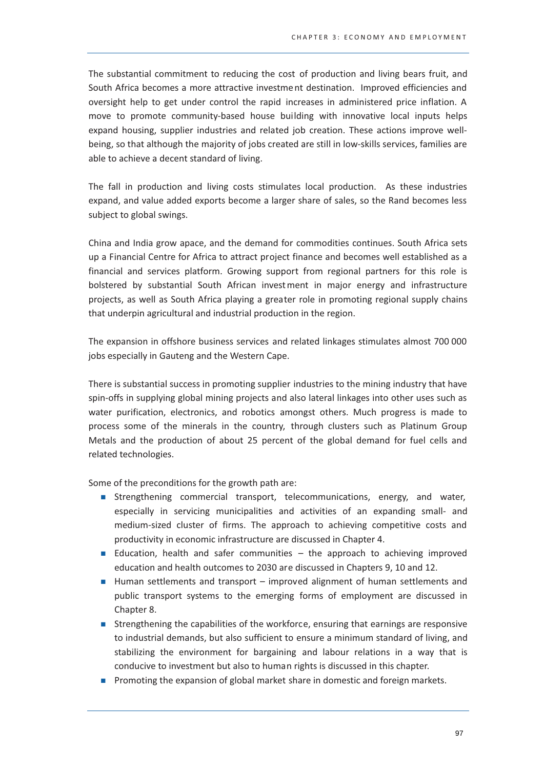The substantial commitment to reducing the cost of production and living bears fruit, and South Africa becomes a more attractive investment destination. Improved efficiencies and oversight help to get under control the rapid increases in administered price inflation. A move to promote community-based house building with innovative local inputs helps expand housing, supplier industries and related job creation. These actions improve wellbeing, so that although the majority of jobs created are still in low-skills services, families are able to achieve a decent standard of living.

The fall in production and living costs stimulates local production. As these industries expand, and value added exports become a larger share of sales, so the Rand becomes less subject to global swings.

China and India grow apace, and the demand for commodities continues. South Africa sets up a Financial Centre for Africa to attract project finance and becomes well established as a financial and services platform. Growing support from regional partners for this role is bolstered by substantial South African investment in major energy and infrastructure projects, as well as South Africa playing a greater role in promoting regional supply chains that underpin agricultural and industrial production in the region.

The expansion in offshore business services and related linkages stimulates almost 700 000 jobs especially in Gauteng and the Western Cape.

There is substantial success in promoting supplier industries to the mining industry that have spin-offs in supplying global mining projects and also lateral linkages into other uses such as water purification, electronics, and robotics amongst others. Much progress is made to process some of the minerals in the country, through clusters such as Platinum Group Metals and the production of about 25 percent of the global demand for fuel cells and related technologies.

Some of the preconditions for the growth path are:

- Strengthening commercial transport, telecommunications, energy, and water, especially in servicing municipalities and activities of an expanding small- and medium-sized cluster of firms. The approach to achieving competitive costs and productivity in economic infrastructure are discussed in Chapter 4.
- Education, health and safer communities the approach to achieving improved education and health outcomes to 2030 are discussed in Chapters 9, 10 and 12.
- Human settlements and transport improved alignment of human settlements and public transport systems to the emerging forms of employment are discussed in Chapter 8.
- Strengthening the capabilities of the workforce, ensuring that earnings are responsive to industrial demands, but also sufficient to ensure a minimum standard of living, and stabilizing the environment for bargaining and labour relations in a way that is conducive to investment but also to human rights is discussed in this chapter.
- Promoting the expansion of global market share in domestic and foreign markets.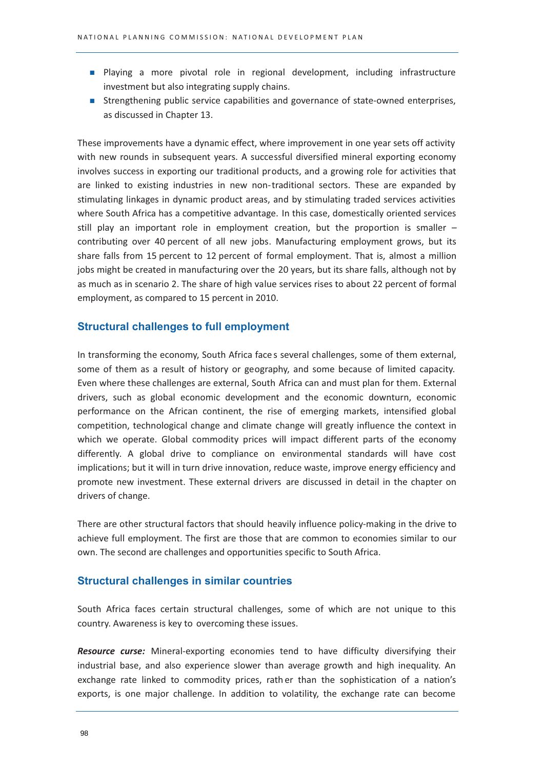- Playing a more pivotal role in regional development, including infrastructure investment but also integrating supply chains.
- Strengthening public service capabilities and governance of state-owned enterprises, as discussed in Chapter 13.

These improvements have a dynamic effect, where improvement in one year sets off activity with new rounds in subsequent years. A successful diversified mineral exporting economy involves success in exporting our traditional products, and a growing role for activities that are linked to existing industries in new non-traditional sectors. These are expanded by stimulating linkages in dynamic product areas, and by stimulating traded services activities where South Africa has a competitive advantage. In this case, domestically oriented services still play an important role in employment creation, but the proportion is smaller  $$ contributing over 40 percent of all new jobs. Manufacturing employment grows, but its share falls from 15 percent to 12 percent of formal employment. That is, almost a million jobs might be created in manufacturing over the 20 years, but its share falls, although not by as much as in scenario 2. The share of high value services rises to about 22 percent of formal employment, as compared to 15 percent in 2010.

## **Structural challenges to full employment**

In transforming the economy, South Africa faces several challenges, some of them external, some of them as a result of history or geography, and some because of limited capacity. Even where these challenges are external, South Africa can and must plan for them. External drivers, such as global economic development and the economic downturn, economic performance on the African continent, the rise of emerging markets, intensified global competition, technological change and climate change will greatly influence the context in which we operate. Global commodity prices will impact different parts of the economy differently. A global drive to compliance on environmental standards will have cost implications; but it will in turn drive innovation, reduce waste, improve energy efficiency and promote new investment. These external drivers are discussed in detail in the chapter on drivers of change.

There are other structural factors that should heavily influence policy-making in the drive to achieve full employment. The first are those that are common to economies similar to our own. The second are challenges and opportunities specific to South Africa.

#### **Structural challenges in similar countries**

South Africa faces certain structural challenges, some of which are not unique to this country. Awareness is key to overcoming these issues.

Resource curse: Mineral-exporting economies tend to have difficulty diversifying their industrial base, and also experience slower than average growth and high inequality. An exchange rate linked to commodity prices, rather than the sophistication of a nation's exports, is one major challenge. In addition to volatility, the exchange rate can become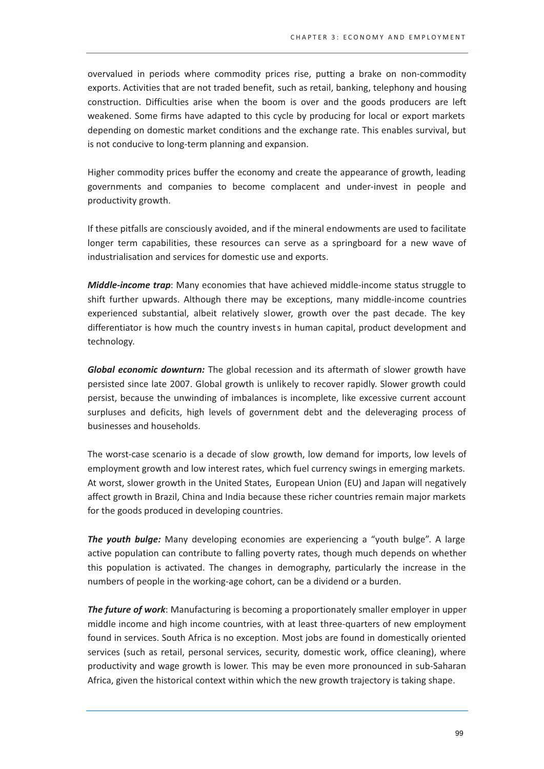overvalued in periods where commodity prices rise, putting a brake on non-commodity exports. Activities that are not traded benefit, such as retail, banking, telephony and housing construction. Difficulties arise when the boom is over and the goods producers are left weakened. Some firms have adapted to this cycle by producing for local or export markets depending on domestic market conditions and the exchange rate. This enables survival, but is not conducive to long-term planning and expansion.

Higher commodity prices buffer the economy and create the appearance of growth, leading governments and companies to become complacent and under-invest in people and productivity growth.

If these pitfalls are consciously avoided, and if the mineral endowments are used to facilitate longer term capabilities, these resources can serve as a springboard for a new wave of industrialisation and services for domestic use and exports.

Middle-income trap: Many economies that have achieved middle-income status struggle to shift further upwards. Although there may be exceptions, many middle-income countries experienced substantial, albeit relatively slower, growth over the past decade. The key differentiator is how much the country invests in human capital, product development and technology.

Global economic downturn: The global recession and its aftermath of slower growth have persisted since late 2007. Global growth is unlikely to recover rapidly. Slower growth could persist, because the unwinding of imbalances is incomplete, like excessive current account surpluses and deficits, high levels of government debt and the deleveraging process of businesses and households.

The worst-case scenario is a decade of slow growth, low demand for imports, low levels of employment growth and low interest rates, which fuel currency swings in emerging markets. At worst, slower growth in the United States, European Union (EU) and Japan will negatively affect growth in Brazil. China and India because these richer countries remain major markets for the goods produced in developing countries.

The youth bulge: Many developing economies are experiencing a "youth bulge". A large active population can contribute to falling poverty rates, though much depends on whether this population is activated. The changes in demography, particularly the increase in the numbers of people in the working-age cohort, can be a dividend or a burden.

**The future of work:** Manufacturing is becoming a proportionately smaller employer in upper middle income and high income countries, with at least three-quarters of new employment found in services. South Africa is no exception. Most jobs are found in domestically oriented services (such as retail, personal services, security, domestic work, office cleaning), where productivity and wage growth is lower. This may be even more pronounced in sub-Saharan Africa, given the historical context within which the new growth trajectory is taking shape.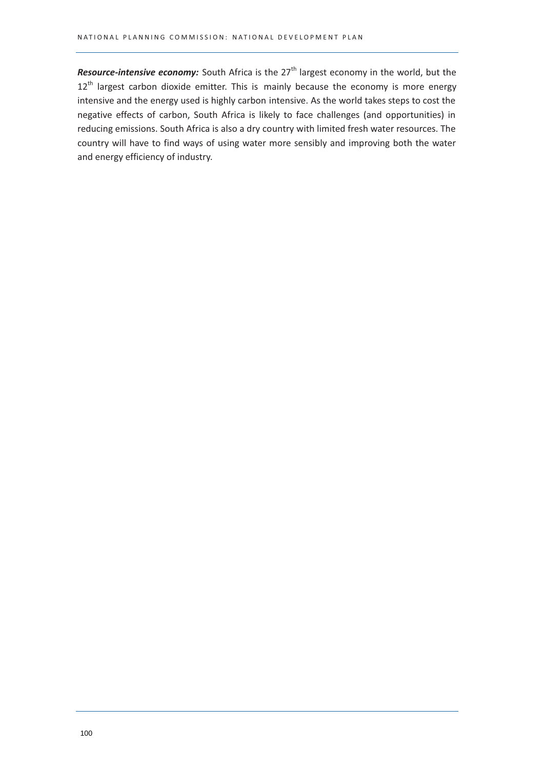Resource-intensive economy: South Africa is the 27<sup>th</sup> largest economy in the world, but the  $12<sup>th</sup>$  largest carbon dioxide emitter. This is mainly because the economy is more energy intensive and the energy used is highly carbon intensive. As the world takes steps to cost the negative effects of carbon, South Africa is likely to face challenges (and opportunities) in reducing emissions. South Africa is also a dry country with limited fresh water resources. The country will have to find ways of using water more sensibly and improving both the water and energy efficiency of industry.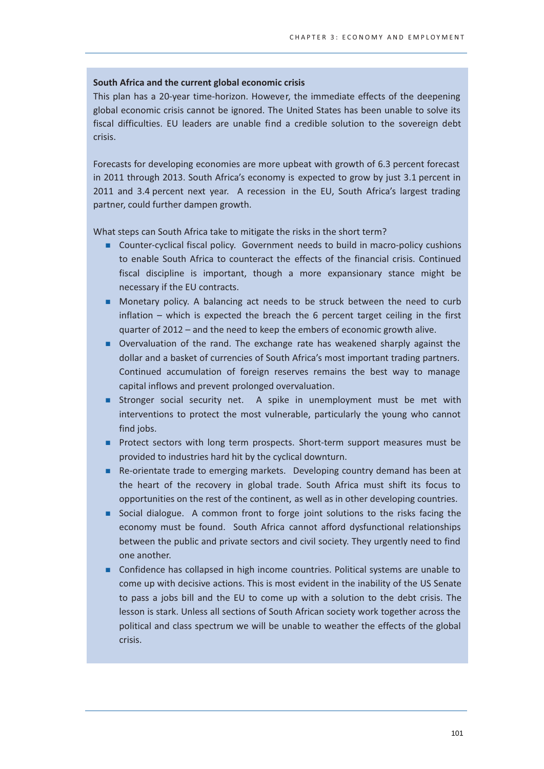## South Africa and the current global economic crisis

This plan has a 20-year time-horizon. However, the immediate effects of the deepening global economic crisis cannot be ignored. The United States has been unable to solve its fiscal difficulties. EU leaders are unable find a credible solution to the sovereign debt crisis.

Forecasts for developing economies are more upbeat with growth of 6.3 percent forecast in 2011 through 2013. South Africa's economy is expected to grow by just 3.1 percent in 2011 and 3.4 percent next year. A recession in the EU, South Africa's largest trading partner, could further dampen growth.

What steps can South Africa take to mitigate the risks in the short term?

- Counter-cyclical fiscal policy. Government needs to build in macro-policy cushions to enable South Africa to counteract the effects of the financial crisis. Continued fiscal discipline is important, though a more expansionary stance might be necessary if the EU contracts.
- Monetary policy. A balancing act needs to be struck between the need to curb inflation – which is expected the breach the 6 percent target ceiling in the first quarter of 2012 - and the need to keep the embers of economic growth alive.
- Overvaluation of the rand. The exchange rate has weakened sharply against the dollar and a basket of currencies of South Africa's most important trading partners. Continued accumulation of foreign reserves remains the best way to manage capital inflows and prevent prolonged overvaluation.
- Stronger social security net. A spike in unemployment must be met with interventions to protect the most vulnerable, particularly the young who cannot find jobs.
- Protect sectors with long term prospects. Short-term support measures must be provided to industries hard hit by the cyclical downturn.
- Re-orientate trade to emerging markets. Developing country demand has been at the heart of the recovery in global trade. South Africa must shift its focus to opportunities on the rest of the continent, as well as in other developing countries.
- Social dialogue. A common front to forge joint solutions to the risks facing the economy must be found. South Africa cannot afford dysfunctional relationships between the public and private sectors and civil society. They urgently need to find one another.
- Confidence has collapsed in high income countries. Political systems are unable to come up with decisive actions. This is most evident in the inability of the US Senate to pass a jobs bill and the EU to come up with a solution to the debt crisis. The lesson is stark. Unless all sections of South African society work together across the political and class spectrum we will be unable to weather the effects of the global crisis.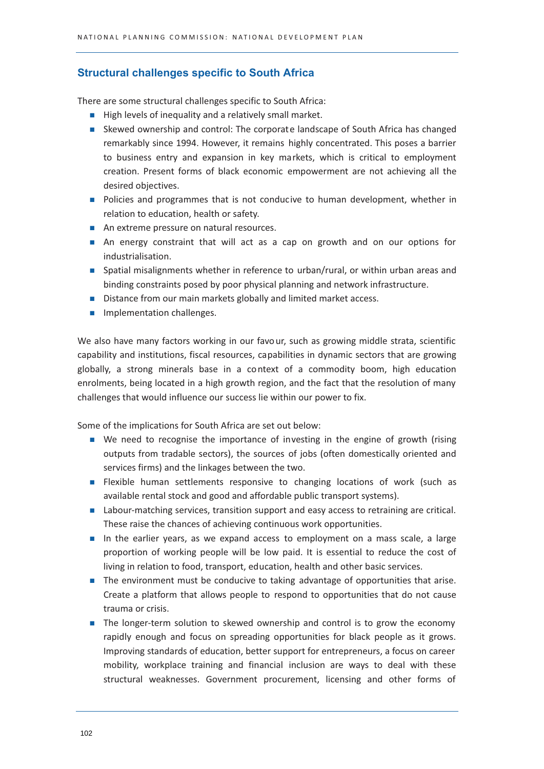# **Structural challenges specific to South Africa**

There are some structural challenges specific to South Africa:

- High levels of inequality and a relatively small market.
- Skewed ownership and control: The corporate landscape of South Africa has changed remarkably since 1994. However, it remains highly concentrated. This poses a barrier to business entry and expansion in key markets, which is critical to employment creation. Present forms of black economic empowerment are not achieving all the desired objectives.
- Policies and programmes that is not conducive to human development, whether in relation to education, health or safety.
- An extreme pressure on natural resources.
- An energy constraint that will act as a cap on growth and on our options for industrialisation.
- Spatial misalignments whether in reference to urban/rural, or within urban areas and binding constraints posed by poor physical planning and network infrastructure.
- Distance from our main markets globally and limited market access.
- Implementation challenges.

We also have many factors working in our favour, such as growing middle strata, scientific capability and institutions, fiscal resources, capabilities in dynamic sectors that are growing globally, a strong minerals base in a context of a commodity boom, high education enrolments, being located in a high growth region, and the fact that the resolution of many challenges that would influence our success lie within our power to fix.

Some of the implications for South Africa are set out below:

- We need to recognise the importance of investing in the engine of growth (rising outputs from tradable sectors), the sources of jobs (often domestically oriented and services firms) and the linkages between the two.
- **Example 1** Flexible human settlements responsive to changing locations of work (such as available rental stock and good and affordable public transport systems).
- Labour-matching services, transition support and easy access to retraining are critical. These raise the chances of achieving continuous work opportunities.
- In the earlier years, as we expand access to employment on a mass scale, a large proportion of working people will be low paid. It is essential to reduce the cost of living in relation to food, transport, education, health and other basic services.
- The environment must be conducive to taking advantage of opportunities that arise. Create a platform that allows people to respond to opportunities that do not cause trauma or crisis.
- The longer-term solution to skewed ownership and control is to grow the economy rapidly enough and focus on spreading opportunities for black people as it grows. Improving standards of education, better support for entrepreneurs, a focus on career mobility, workplace training and financial inclusion are ways to deal with these structural weaknesses. Government procurement, licensing and other forms of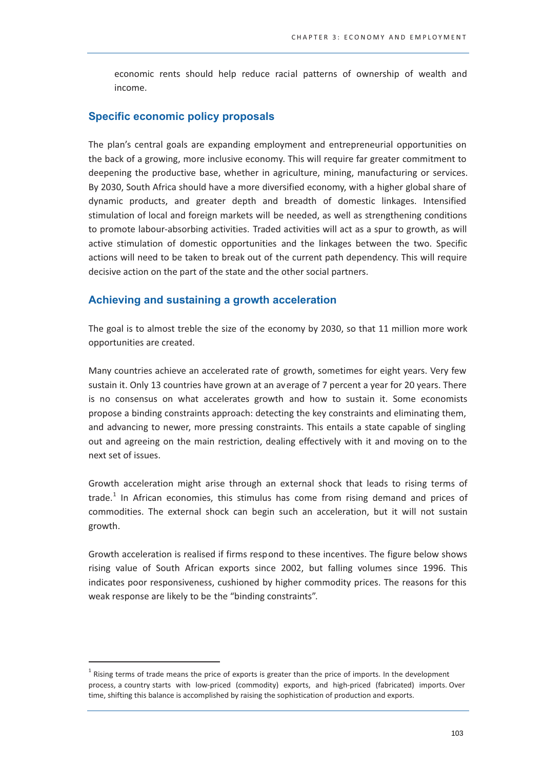economic rents should help reduce racial patterns of ownership of wealth and income.

# Specific economic policy proposals

The plan's central goals are expanding employment and entrepreneurial opportunities on the back of a growing, more inclusive economy. This will require far greater commitment to deepening the productive base, whether in agriculture, mining, manufacturing or services. By 2030, South Africa should have a more diversified economy, with a higher global share of dynamic products, and greater depth and breadth of domestic linkages. Intensified stimulation of local and foreign markets will be needed, as well as strengthening conditions to promote labour-absorbing activities. Traded activities will act as a spur to growth, as will active stimulation of domestic opportunities and the linkages between the two. Specific actions will need to be taken to break out of the current path dependency. This will require decisive action on the part of the state and the other social partners.

# Achieving and sustaining a growth acceleration

The goal is to almost treble the size of the economy by 2030, so that 11 million more work opportunities are created.

Many countries achieve an accelerated rate of growth, sometimes for eight years. Very few sustain it. Only 13 countries have grown at an average of 7 percent a year for 20 years. There is no consensus on what accelerates growth and how to sustain it. Some economists propose a binding constraints approach: detecting the key constraints and eliminating them, and advancing to newer, more pressing constraints. This entails a state capable of singling out and agreeing on the main restriction, dealing effectively with it and moving on to the next set of issues.

Growth acceleration might arise through an external shock that leads to rising terms of trade.<sup>1</sup> In African economies, this stimulus has come from rising demand and prices of commodities. The external shock can begin such an acceleration, but it will not sustain growth.

Growth acceleration is realised if firms respond to these incentives. The figure below shows rising value of South African exports since 2002, but falling volumes since 1996. This indicates poor responsiveness, cushioned by higher commodity prices. The reasons for this weak response are likely to be the "binding constraints".

 $1$  Rising terms of trade means the price of exports is greater than the price of imports. In the development process, a country starts with low-priced (commodity) exports, and high-priced (fabricated) imports. Over time, shifting this balance is accomplished by raising the sophistication of production and exports.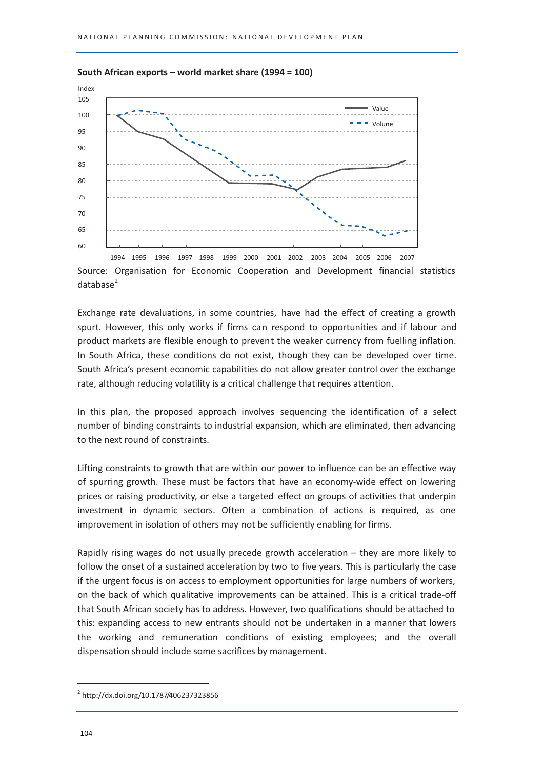

#### South African exports - world market share (1994 = 100)

Source: Organisation for Economic Cooperation and Development financial statistics  $database<sup>2</sup>$ 

Exchange rate devaluations, in some countries, have had the effect of creating a growth spurt. However, this only works if firms can respond to opportunities and if labour and product markets are flexible enough to prevent the weaker currency from fuelling inflation. In South Africa, these conditions do not exist, though they can be developed over time. South Africa's present economic capabilities do not allow greater control over the exchange rate, although reducing volatility is a critical challenge that requires attention.

In this plan, the proposed approach involves sequencing the identification of a select number of binding constraints to industrial expansion, which are eliminated, then advancing to the next round of constraints.

Lifting constraints to growth that are within our power to influence can be an effective way of spurring growth. These must be factors that have an economy-wide effect on lowering prices or raising productivity, or else a targeted effect on groups of activities that underpin investment in dynamic sectors. Often a combination of actions is required, as one improvement in isolation of others may not be sufficiently enabling for firms.

Rapidly rising wages do not usually precede growth acceleration  $-$  they are more likely to follow the onset of a sustained acceleration by two to five years. This is particularly the case if the urgent focus is on access to employment opportunities for large numbers of workers, on the back of which qualitative improvements can be attained. This is a critical trade-off that South African society has to address. However, two qualifications should be attached to this: expanding access to new entrants should not be undertaken in a manner that lowers the working and remuneration conditions of existing employees; and the overall dispensation should include some sacrifices by management.

 $^{2}$  http://dx.doi.org/10.1787/406237323856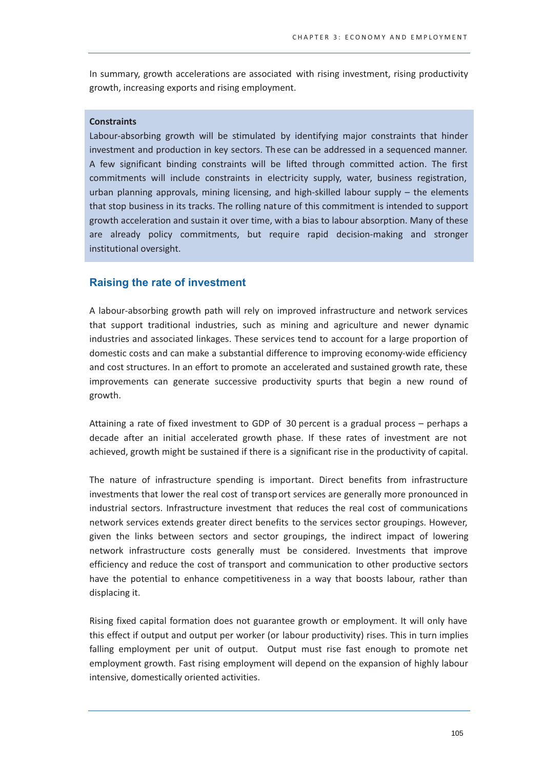In summary, growth accelerations are associated with rising investment, rising productivity growth, increasing exports and rising employment.

## **Constraints**

Labour-absorbing growth will be stimulated by identifying major constraints that hinder investment and production in key sectors. These can be addressed in a sequenced manner. A few significant binding constraints will be lifted through committed action. The first commitments will include constraints in electricity supply, water, business registration, urban planning approvals, mining licensing, and high-skilled labour supply – the elements that stop business in its tracks. The rolling nature of this commitment is intended to support growth acceleration and sustain it over time, with a bias to labour absorption. Many of these are already policy commitments, but require rapid decision-making and stronger institutional oversight.

# **Raising the rate of investment**

A labour-absorbing growth path will rely on improved infrastructure and network services that support traditional industries, such as mining and agriculture and newer dynamic industries and associated linkages. These services tend to account for a large proportion of domestic costs and can make a substantial difference to improving economy-wide efficiency and cost structures. In an effort to promote an accelerated and sustained growth rate, these improvements can generate successive productivity spurts that begin a new round of growth.

Attaining a rate of fixed investment to GDP of 30 percent is a gradual process - perhaps a decade after an initial accelerated growth phase. If these rates of investment are not achieved, growth might be sustained if there is a significant rise in the productivity of capital.

The nature of infrastructure spending is important. Direct benefits from infrastructure investments that lower the real cost of transport services are generally more pronounced in industrial sectors. Infrastructure investment that reduces the real cost of communications network services extends greater direct benefits to the services sector groupings. However, given the links between sectors and sector groupings, the indirect impact of lowering network infrastructure costs generally must be considered. Investments that improve efficiency and reduce the cost of transport and communication to other productive sectors have the potential to enhance competitiveness in a way that boosts labour, rather than displacing it.

Rising fixed capital formation does not guarantee growth or employment. It will only have this effect if output and output per worker (or labour productivity) rises. This in turn implies falling employment per unit of output. Output must rise fast enough to promote net employment growth. Fast rising employment will depend on the expansion of highly labour intensive, domestically oriented activities.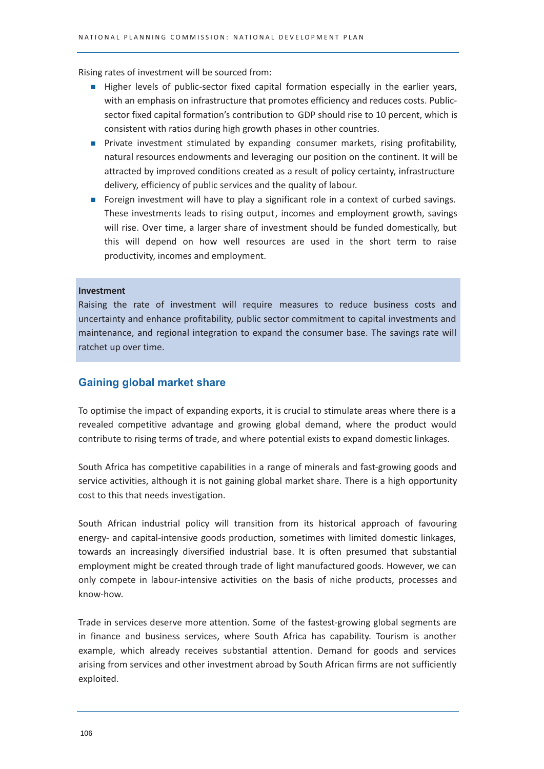Rising rates of investment will be sourced from:

- Higher levels of public-sector fixed capital formation especially in the earlier years, with an emphasis on infrastructure that promotes efficiency and reduces costs. Publicsector fixed capital formation's contribution to GDP should rise to 10 percent, which is consistent with ratios during high growth phases in other countries.
- Private investment stimulated by expanding consumer markets, rising profitability, natural resources endowments and leveraging our position on the continent. It will be attracted by improved conditions created as a result of policy certainty, infrastructure delivery, efficiency of public services and the quality of labour.
- Foreign investment will have to play a significant role in a context of curbed savings. These investments leads to rising output, incomes and employment growth, savings will rise. Over time, a larger share of investment should be funded domestically, but this will depend on how well resources are used in the short term to raise productivity, incomes and employment.

#### Investment

Raising the rate of investment will require measures to reduce business costs and uncertainty and enhance profitability, public sector commitment to capital investments and maintenance, and regional integration to expand the consumer base. The savings rate will ratchet up over time.

# **Gaining global market share**

To optimise the impact of expanding exports, it is crucial to stimulate areas where there is a revealed competitive advantage and growing global demand, where the product would contribute to rising terms of trade, and where potential exists to expand domestic linkages.

South Africa has competitive capabilities in a range of minerals and fast-growing goods and service activities, although it is not gaining global market share. There is a high opportunity cost to this that needs investigation.

South African industrial policy will transition from its historical approach of favouring energy- and capital-intensive goods production, sometimes with limited domestic linkages, towards an increasingly diversified industrial base. It is often presumed that substantial employment might be created through trade of light manufactured goods. However, we can only compete in labour-intensive activities on the basis of niche products, processes and know-how.

Trade in services deserve more attention. Some of the fastest-growing global segments are in finance and business services, where South Africa has capability. Tourism is another example, which already receives substantial attention. Demand for goods and services arising from services and other investment abroad by South African firms are not sufficiently exploited.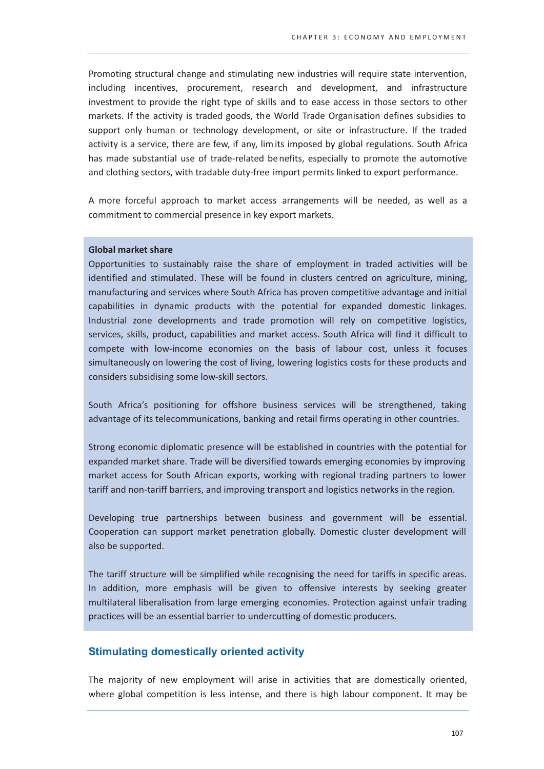Promoting structural change and stimulating new industries will require state intervention, including incentives, procurement, research and development, and infrastructure investment to provide the right type of skills and to ease access in those sectors to other markets. If the activity is traded goods, the World Trade Organisation defines subsidies to support only human or technology development, or site or infrastructure. If the traded activity is a service, there are few, if any, limits imposed by global regulations. South Africa has made substantial use of trade-related benefits, especially to promote the automotive and clothing sectors, with tradable duty-free import permits linked to export performance.

A more forceful approach to market access arrangements will be needed, as well as a commitment to commercial presence in key export markets.

#### **Global market share**

Opportunities to sustainably raise the share of employment in traded activities will be identified and stimulated. These will be found in clusters centred on agriculture, mining, manufacturing and services where South Africa has proven competitive advantage and initial capabilities in dynamic products with the potential for expanded domestic linkages. Industrial zone developments and trade promotion will rely on competitive logistics, services, skills, product, capabilities and market access. South Africa will find it difficult to compete with low-income economies on the basis of labour cost, unless it focuses simultaneously on lowering the cost of living, lowering logistics costs for these products and considers subsidising some low-skill sectors.

South Africa's positioning for offshore business services will be strengthened, taking advantage of its telecommunications, banking and retail firms operating in other countries.

Strong economic diplomatic presence will be established in countries with the potential for expanded market share. Trade will be diversified towards emerging economies by improving market access for South African exports, working with regional trading partners to lower tariff and non-tariff barriers, and improving transport and logistics networks in the region.

Developing true partnerships between business and government will be essential. Cooperation can support market penetration globally. Domestic cluster development will also be supported.

The tariff structure will be simplified while recognising the need for tariffs in specific areas. In addition, more emphasis will be given to offensive interests by seeking greater multilateral liberalisation from large emerging economies. Protection against unfair trading practices will be an essential barrier to undercutting of domestic producers.

# **Stimulating domestically oriented activity**

The majority of new employment will arise in activities that are domestically oriented, where global competition is less intense, and there is high labour component. It may be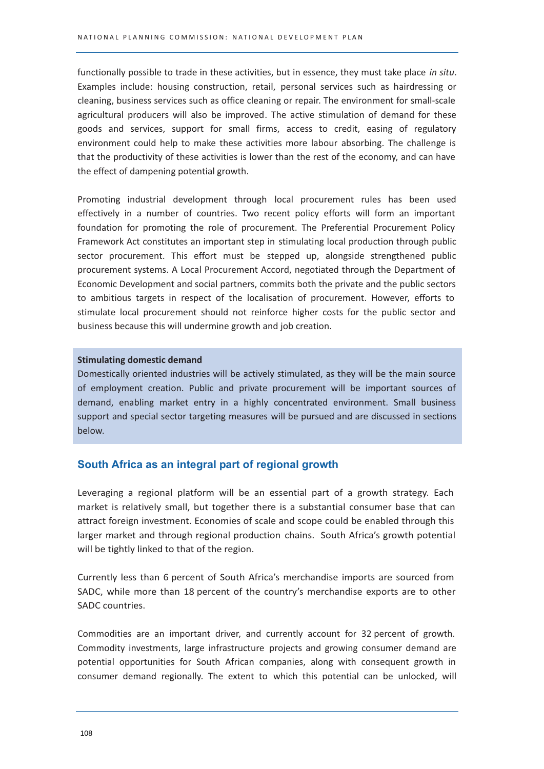functionally possible to trade in these activities, but in essence, they must take place in situ. Examples include: housing construction, retail, personal services such as hairdressing or cleaning, business services such as office cleaning or repair. The environment for small-scale agricultural producers will also be improved. The active stimulation of demand for these goods and services, support for small firms, access to credit, easing of regulatory environment could help to make these activities more labour absorbing. The challenge is that the productivity of these activities is lower than the rest of the economy, and can have the effect of dampening potential growth.

Promoting industrial development through local procurement rules has been used effectively in a number of countries. Two recent policy efforts will form an important foundation for promoting the role of procurement. The Preferential Procurement Policy Framework Act constitutes an important step in stimulating local production through public sector procurement. This effort must be stepped up, alongside strengthened public procurement systems. A Local Procurement Accord, negotiated through the Department of Economic Development and social partners, commits both the private and the public sectors to ambitious targets in respect of the localisation of procurement. However, efforts to stimulate local procurement should not reinforce higher costs for the public sector and business because this will undermine growth and job creation.

#### **Stimulating domestic demand**

Domestically oriented industries will be actively stimulated, as they will be the main source of employment creation. Public and private procurement will be important sources of demand, enabling market entry in a highly concentrated environment. Small business support and special sector targeting measures will be pursued and are discussed in sections below.

# South Africa as an integral part of regional growth

Leveraging a regional platform will be an essential part of a growth strategy. Each market is relatively small, but together there is a substantial consumer base that can attract foreign investment. Economies of scale and scope could be enabled through this larger market and through regional production chains. South Africa's growth potential will be tightly linked to that of the region.

Currently less than 6 percent of South Africa's merchandise imports are sourced from SADC, while more than 18 percent of the country's merchandise exports are to other SADC countries.

Commodities are an important driver, and currently account for 32 percent of growth. Commodity investments, large infrastructure projects and growing consumer demand are potential opportunities for South African companies, along with consequent growth in consumer demand regionally. The extent to which this potential can be unlocked, will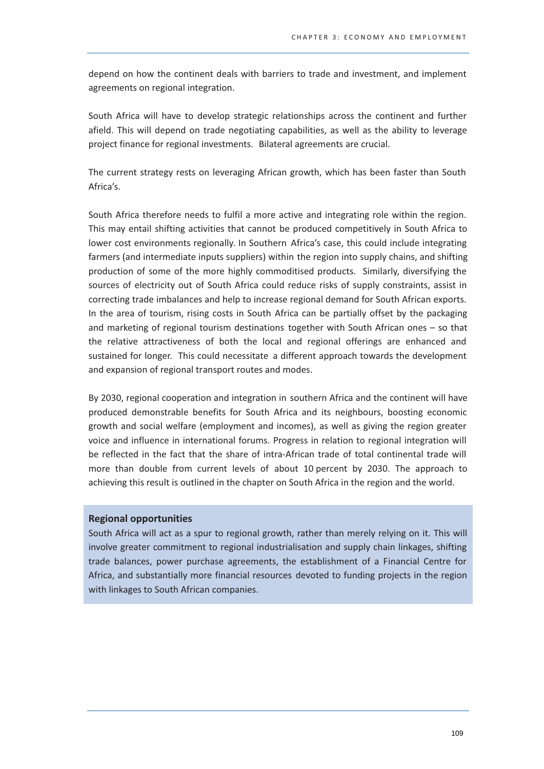depend on how the continent deals with barriers to trade and investment, and implement agreements on regional integration.

South Africa will have to develop strategic relationships across the continent and further afield. This will depend on trade negotiating capabilities, as well as the ability to leverage project finance for regional investments. Bilateral agreements are crucial.

The current strategy rests on leveraging African growth, which has been faster than South Africa's.

South Africa therefore needs to fulfil a more active and integrating role within the region. This may entail shifting activities that cannot be produced competitively in South Africa to lower cost environments regionally. In Southern Africa's case, this could include integrating farmers (and intermediate inputs suppliers) within the region into supply chains, and shifting production of some of the more highly commoditised products. Similarly, diversifying the sources of electricity out of South Africa could reduce risks of supply constraints, assist in correcting trade imbalances and help to increase regional demand for South African exports. In the area of tourism, rising costs in South Africa can be partially offset by the packaging and marketing of regional tourism destinations together with South African ones - so that the relative attractiveness of both the local and regional offerings are enhanced and sustained for longer. This could necessitate a different approach towards the development and expansion of regional transport routes and modes.

By 2030, regional cooperation and integration in southern Africa and the continent will have produced demonstrable benefits for South Africa and its neighbours, boosting economic growth and social welfare (employment and incomes), as well as giving the region greater voice and influence in international forums. Progress in relation to regional integration will be reflected in the fact that the share of intra-African trade of total continental trade will more than double from current levels of about 10 percent by 2030. The approach to achieving this result is outlined in the chapter on South Africa in the region and the world.

# **Regional opportunities**

South Africa will act as a spur to regional growth, rather than merely relying on it. This will involve greater commitment to regional industrialisation and supply chain linkages, shifting trade balances, power purchase agreements, the establishment of a Financial Centre for Africa, and substantially more financial resources devoted to funding projects in the region with linkages to South African companies.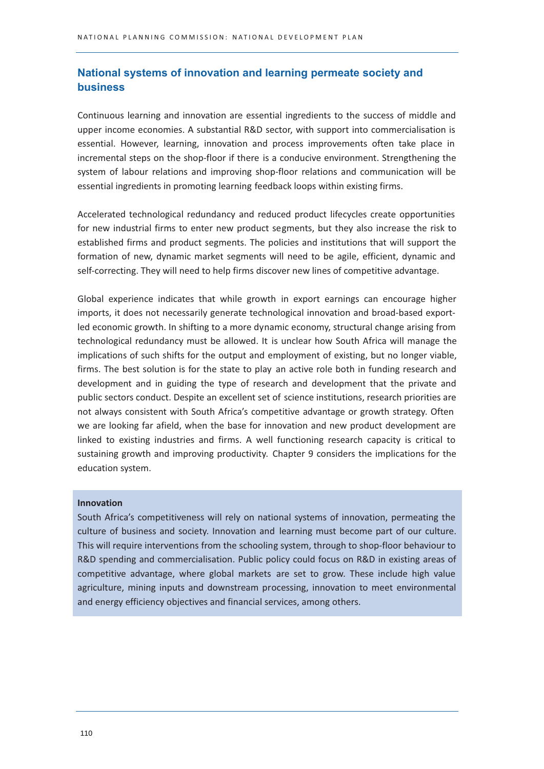# National systems of innovation and learning permeate society and **business**

Continuous learning and innovation are essential ingredients to the success of middle and upper income economies. A substantial R&D sector, with support into commercialisation is essential. However, learning, innovation and process improvements often take place in incremental steps on the shop-floor if there is a conducive environment. Strengthening the system of labour relations and improving shop-floor relations and communication will be essential ingredients in promoting learning feedback loops within existing firms.

Accelerated technological redundancy and reduced product lifecycles create opportunities for new industrial firms to enter new product segments, but they also increase the risk to established firms and product segments. The policies and institutions that will support the formation of new, dynamic market segments will need to be agile, efficient, dynamic and self-correcting. They will need to help firms discover new lines of competitive advantage.

Global experience indicates that while growth in export earnings can encourage higher imports, it does not necessarily generate technological innovation and broad-based exportled economic growth. In shifting to a more dynamic economy, structural change arising from technological redundancy must be allowed. It is unclear how South Africa will manage the implications of such shifts for the output and employment of existing, but no longer viable, firms. The best solution is for the state to play an active role both in funding research and development and in guiding the type of research and development that the private and public sectors conduct. Despite an excellent set of science institutions, research priorities are not always consistent with South Africa's competitive advantage or growth strategy. Often we are looking far afield, when the base for innovation and new product development are linked to existing industries and firms. A well functioning research capacity is critical to sustaining growth and improving productivity. Chapter 9 considers the implications for the education system.

#### Innovation

South Africa's competitiveness will rely on national systems of innovation, permeating the culture of business and society. Innovation and learning must become part of our culture. This will require interventions from the schooling system, through to shop-floor behaviour to R&D spending and commercialisation. Public policy could focus on R&D in existing areas of competitive advantage, where global markets are set to grow. These include high value agriculture, mining inputs and downstream processing, innovation to meet environmental and energy efficiency objectives and financial services, among others.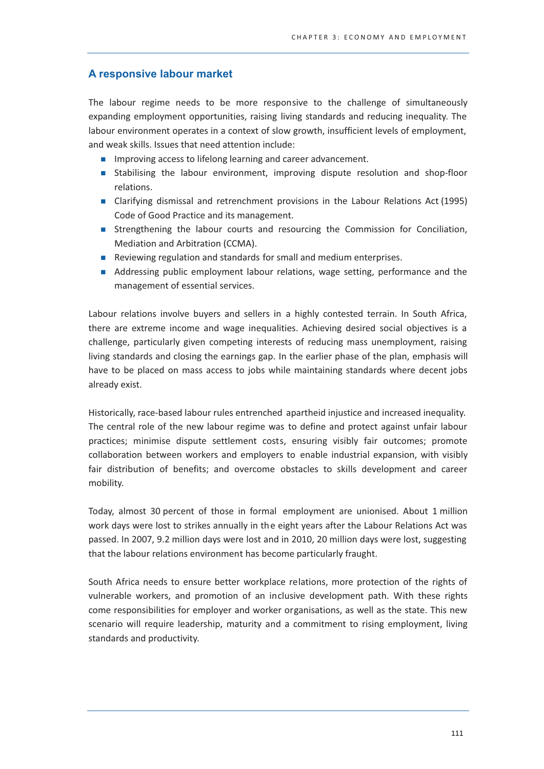# A responsive labour market

The labour regime needs to be more responsive to the challenge of simultaneously expanding employment opportunities, raising living standards and reducing inequality. The labour environment operates in a context of slow growth, insufficient levels of employment, and weak skills. Issues that need attention include:

- Improving access to lifelong learning and career advancement.
- **Stabilising the labour environment, improving dispute resolution and shop-floor** relations.
- Clarifying dismissal and retrenchment provisions in the Labour Relations Act (1995) Code of Good Practice and its management.
- Strengthening the labour courts and resourcing the Commission for Conciliation, Mediation and Arbitration (CCMA).
- Reviewing regulation and standards for small and medium enterprises.
- Addressing public employment labour relations, wage setting, performance and the management of essential services.

Labour relations involve buyers and sellers in a highly contested terrain. In South Africa, there are extreme income and wage inequalities. Achieving desired social objectives is a challenge, particularly given competing interests of reducing mass unemployment, raising living standards and closing the earnings gap. In the earlier phase of the plan, emphasis will have to be placed on mass access to jobs while maintaining standards where decent jobs already exist.

Historically, race-based labour rules entrenched apartheid injustice and increased inequality. The central role of the new labour regime was to define and protect against unfair labour practices; minimise dispute settlement costs, ensuring visibly fair outcomes; promote collaboration between workers and employers to enable industrial expansion, with visibly fair distribution of benefits; and overcome obstacles to skills development and career mobility.

Today, almost 30 percent of those in formal employment are unionised. About 1 million work days were lost to strikes annually in the eight years after the Labour Relations Act was passed. In 2007, 9.2 million days were lost and in 2010, 20 million days were lost, suggesting that the labour relations environment has become particularly fraught.

South Africa needs to ensure better workplace relations, more protection of the rights of vulnerable workers, and promotion of an inclusive development path. With these rights come responsibilities for employer and worker organisations, as well as the state. This new scenario will require leadership, maturity and a commitment to rising employment, living standards and productivity.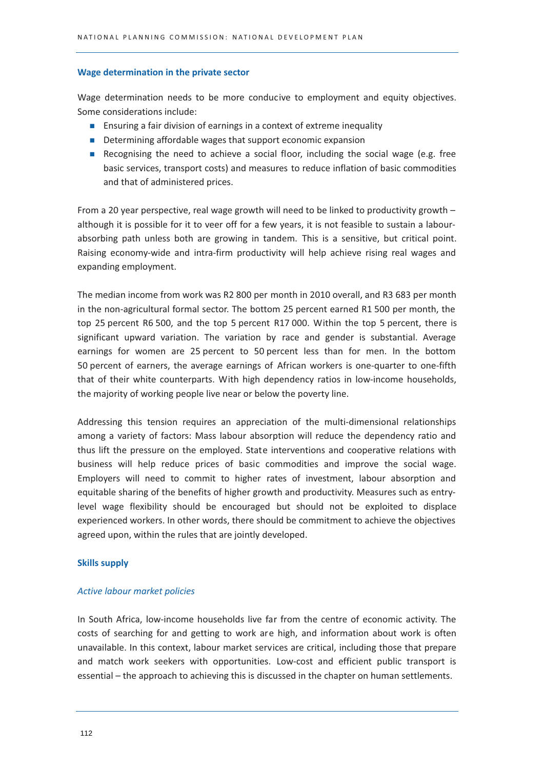#### Wage determination in the private sector

Wage determination needs to be more conducive to employment and equity objectives. Some considerations include:

- Ensuring a fair division of earnings in a context of extreme inequality
- Determining affordable wages that support economic expansion
- Recognising the need to achieve a social floor, including the social wage (e.g. free basic services, transport costs) and measures to reduce inflation of basic commodities and that of administered prices.

From a 20 year perspective, real wage growth will need to be linked to productivity growth although it is possible for it to veer off for a few years, it is not feasible to sustain a labourabsorbing path unless both are growing in tandem. This is a sensitive, but critical point. Raising economy-wide and intra-firm productivity will help achieve rising real wages and expanding employment.

The median income from work was R2 800 per month in 2010 overall, and R3 683 per month in the non-agricultural formal sector. The bottom 25 percent earned R1 500 per month, the top 25 percent R6 500, and the top 5 percent R17 000. Within the top 5 percent, there is significant upward variation. The variation by race and gender is substantial. Average earnings for women are 25 percent to 50 percent less than for men. In the bottom 50 percent of earners, the average earnings of African workers is one-quarter to one-fifth that of their white counterparts. With high dependency ratios in low-income households, the majority of working people live near or below the poverty line.

Addressing this tension requires an appreciation of the multi-dimensional relationships among a variety of factors: Mass labour absorption will reduce the dependency ratio and thus lift the pressure on the employed. State interventions and cooperative relations with business will help reduce prices of basic commodities and improve the social wage. Employers will need to commit to higher rates of investment, labour absorption and equitable sharing of the benefits of higher growth and productivity. Measures such as entrylevel wage flexibility should be encouraged but should not be exploited to displace experienced workers. In other words, there should be commitment to achieve the objectives agreed upon, within the rules that are jointly developed.

#### **Skills supply**

#### Active labour market policies

In South Africa, low-income households live far from the centre of economic activity. The costs of searching for and getting to work are high, and information about work is often unavailable. In this context, labour market services are critical, including those that prepare and match work seekers with opportunities. Low-cost and efficient public transport is essential – the approach to achieving this is discussed in the chapter on human settlements.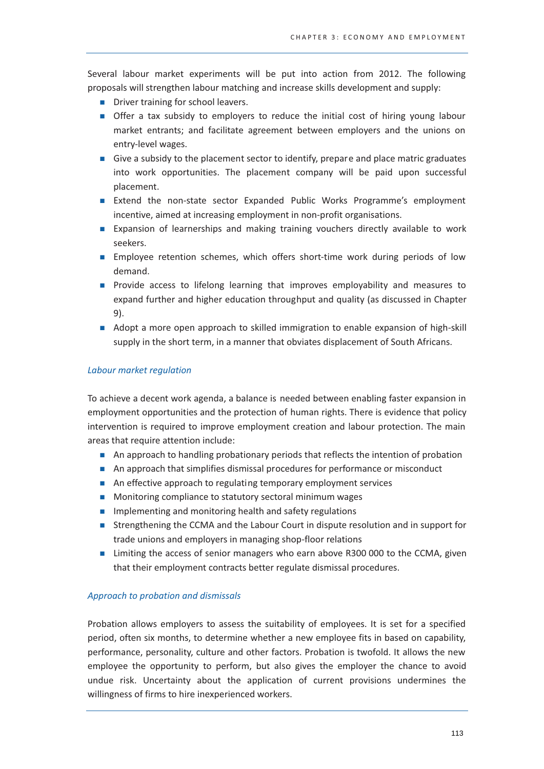Several labour market experiments will be put into action from 2012. The following proposals will strengthen labour matching and increase skills development and supply:

- **Driver training for school leavers.**
- Offer a tax subsidy to employers to reduce the initial cost of hiring young labour market entrants; and facilitate agreement between employers and the unions on entry-level wages.
- Give a subsidy to the placement sector to identify, prepare and place matric graduates into work opportunities. The placement company will be paid upon successful placement.
- Extend the non-state sector Expanded Public Works Programme's employment incentive, aimed at increasing employment in non-profit organisations.
- Expansion of learnerships and making training vouchers directly available to work seekers.
- **Employee retention schemes, which offers short-time work during periods of low** demand.
- Provide access to lifelong learning that improves emplovability and measures to expand further and higher education throughput and quality (as discussed in Chapter  $9$ ).
- Adopt a more open approach to skilled immigration to enable expansion of high-skill supply in the short term, in a manner that obviates displacement of South Africans.

# Labour market regulation

To achieve a decent work agenda, a balance is needed between enabling faster expansion in employment opportunities and the protection of human rights. There is evidence that policy intervention is required to improve employment creation and labour protection. The main areas that require attention include:

- An approach to handling probationary periods that reflects the intention of probation
- An approach that simplifies dismissal procedures for performance or misconduct
- An effective approach to regulating temporary employment services
- Monitoring compliance to statutory sectoral minimum wages
- Implementing and monitoring health and safety regulations
- Strengthening the CCMA and the Labour Court in dispute resolution and in support for trade unions and employers in managing shop-floor relations
- Limiting the access of senior managers who earn above R300 000 to the CCMA, given that their employment contracts better regulate dismissal procedures.

# Approach to probation and dismissals

Probation allows employers to assess the suitability of employees. It is set for a specified period, often six months, to determine whether a new employee fits in based on capability, performance, personality, culture and other factors. Probation is twofold. It allows the new employee the opportunity to perform, but also gives the employer the chance to avoid undue risk. Uncertainty about the application of current provisions undermines the willingness of firms to hire inexperienced workers.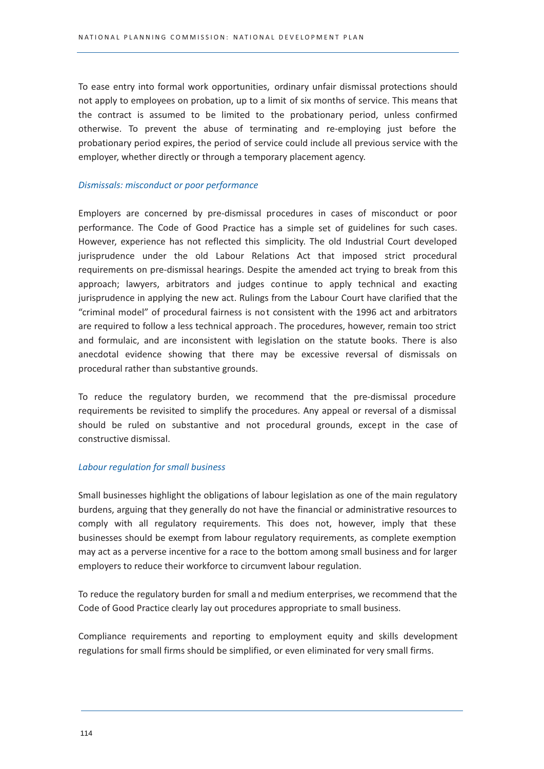To ease entry into formal work opportunities, ordinary unfair dismissal protections should not apply to employees on probation, up to a limit of six months of service. This means that the contract is assumed to be limited to the probationary period, unless confirmed otherwise. To prevent the abuse of terminating and re-employing just before the probationary period expires, the period of service could include all previous service with the employer, whether directly or through a temporary placement agency.

#### Dismissals: misconduct or poor performance

Employers are concerned by pre-dismissal procedures in cases of misconduct or poor performance. The Code of Good Practice has a simple set of guidelines for such cases. However, experience has not reflected this simplicity. The old Industrial Court developed jurisprudence under the old Labour Relations Act that imposed strict procedural requirements on pre-dismissal hearings. Despite the amended act trying to break from this approach; lawyers, arbitrators and judges continue to apply technical and exacting jurisprudence in applying the new act. Rulings from the Labour Court have clarified that the "criminal model" of procedural fairness is not consistent with the 1996 act and arbitrators are required to follow a less technical approach. The procedures, however, remain too strict and formulaic, and are inconsistent with legislation on the statute books. There is also anecdotal evidence showing that there may be excessive reversal of dismissals on procedural rather than substantive grounds.

To reduce the regulatory burden, we recommend that the pre-dismissal procedure requirements be revisited to simplify the procedures. Any appeal or reversal of a dismissal should be ruled on substantive and not procedural grounds, except in the case of constructive dismissal.

# **Labour regulation for small business**

Small businesses highlight the obligations of labour legislation as one of the main regulatory burdens, arguing that they generally do not have the financial or administrative resources to comply with all regulatory requirements. This does not, however, imply that these businesses should be exempt from labour regulatory requirements, as complete exemption may act as a perverse incentive for a race to the bottom among small business and for larger employers to reduce their workforce to circumvent labour regulation.

To reduce the regulatory burden for small and medium enterprises, we recommend that the Code of Good Practice clearly lay out procedures appropriate to small business.

Compliance requirements and reporting to employment equity and skills development regulations for small firms should be simplified, or even eliminated for very small firms.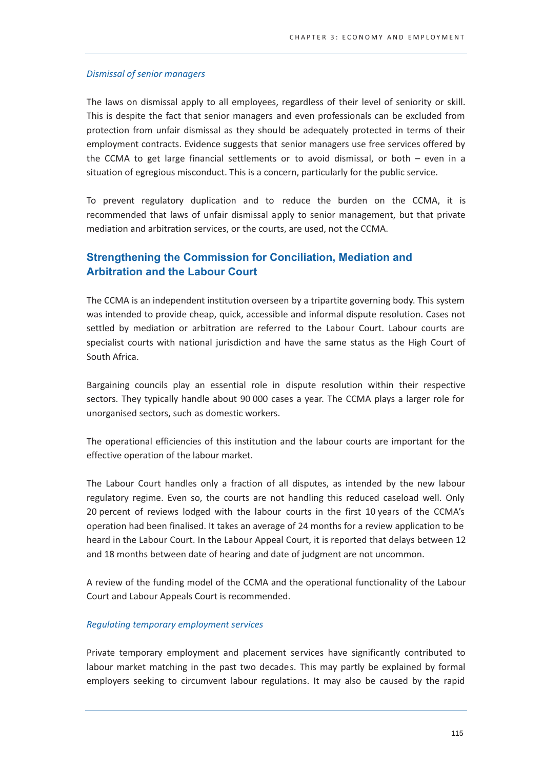#### **Dismissal of senior managers**

The laws on dismissal apply to all employees, regardless of their level of seniority or skill. This is despite the fact that senior managers and even professionals can be excluded from protection from unfair dismissal as they should be adequately protected in terms of their employment contracts. Evidence suggests that senior managers use free services offered by the CCMA to get large financial settlements or to avoid dismissal, or both - even in a situation of egregious misconduct. This is a concern, particularly for the public service.

To prevent regulatory duplication and to reduce the burden on the CCMA, it is recommended that laws of unfair dismissal apply to senior management, but that private mediation and arbitration services, or the courts, are used, not the CCMA.

# **Strengthening the Commission for Conciliation. Mediation and Arbitration and the Labour Court**

The CCMA is an independent institution overseen by a tripartite governing body. This system was intended to provide cheap, quick, accessible and informal dispute resolution. Cases not settled by mediation or arbitration are referred to the Labour Court. Labour courts are specialist courts with national jurisdiction and have the same status as the High Court of South Africa.

Bargaining councils play an essential role in dispute resolution within their respective sectors. They typically handle about 90 000 cases a year. The CCMA plays a larger role for unorganised sectors, such as domestic workers.

The operational efficiencies of this institution and the labour courts are important for the effective operation of the labour market.

The Labour Court handles only a fraction of all disputes, as intended by the new labour regulatory regime. Even so, the courts are not handling this reduced caseload well. Only 20 percent of reviews lodged with the labour courts in the first 10 years of the CCMA's operation had been finalised. It takes an average of 24 months for a review application to be heard in the Labour Court. In the Labour Appeal Court, it is reported that delays between 12 and 18 months between date of hearing and date of judgment are not uncommon.

A review of the funding model of the CCMA and the operational functionality of the Labour Court and Labour Appeals Court is recommended.

#### Regulating temporary employment services

Private temporary employment and placement services have significantly contributed to labour market matching in the past two decades. This may partly be explained by formal employers seeking to circumvent labour regulations. It may also be caused by the rapid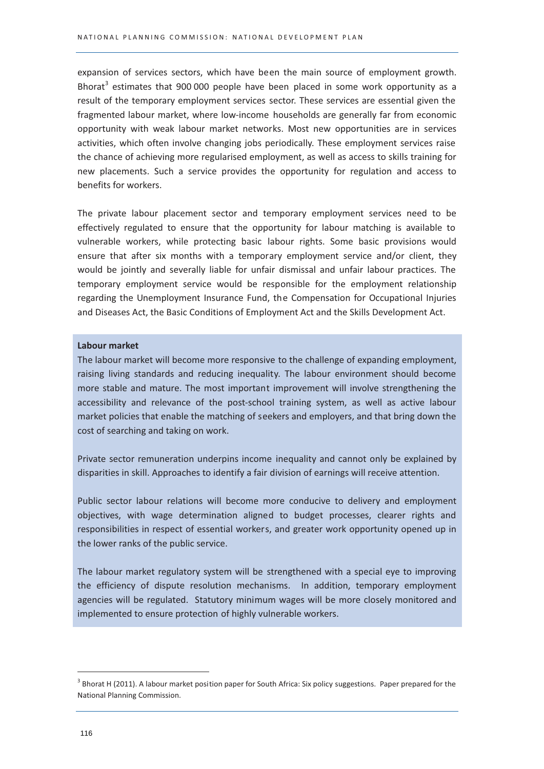expansion of services sectors, which have been the main source of employment growth. Bhorat<sup>3</sup> estimates that 900 000 people have been placed in some work opportunity as a result of the temporary employment services sector. These services are essential given the fragmented labour market, where low-income households are generally far from economic opportunity with weak labour market networks. Most new opportunities are in services activities, which often involve changing jobs periodically. These employment services raise the chance of achieving more regularised employment, as well as access to skills training for new placements. Such a service provides the opportunity for regulation and access to benefits for workers.

The private labour placement sector and temporary employment services need to be effectively regulated to ensure that the opportunity for labour matching is available to vulnerable workers, while protecting basic labour rights. Some basic provisions would ensure that after six months with a temporary employment service and/or client, they would be jointly and severally liable for unfair dismissal and unfair labour practices. The temporary employment service would be responsible for the employment relationship regarding the Unemployment Insurance Fund, the Compensation for Occupational Injuries and Diseases Act, the Basic Conditions of Employment Act and the Skills Development Act.

#### Labour market

The labour market will become more responsive to the challenge of expanding employment, raising living standards and reducing inequality. The labour environment should become more stable and mature. The most important improvement will involve strengthening the accessibility and relevance of the post-school training system, as well as active labour market policies that enable the matching of seekers and employers, and that bring down the cost of searching and taking on work.

Private sector remuneration underpins income inequality and cannot only be explained by disparities in skill. Approaches to identify a fair division of earnings will receive attention.

Public sector labour relations will become more conducive to delivery and employment objectives, with wage determination aligned to budget processes, clearer rights and responsibilities in respect of essential workers, and greater work opportunity opened up in the lower ranks of the public service.

The labour market regulatory system will be strengthened with a special eye to improving the efficiency of dispute resolution mechanisms. In addition, temporary employment agencies will be regulated. Statutory minimum wages will be more closely monitored and implemented to ensure protection of highly vulnerable workers.

 $3$  Bhorat H (2011). A labour market position paper for South Africa: Six policy suggestions. Paper prepared for the National Planning Commission.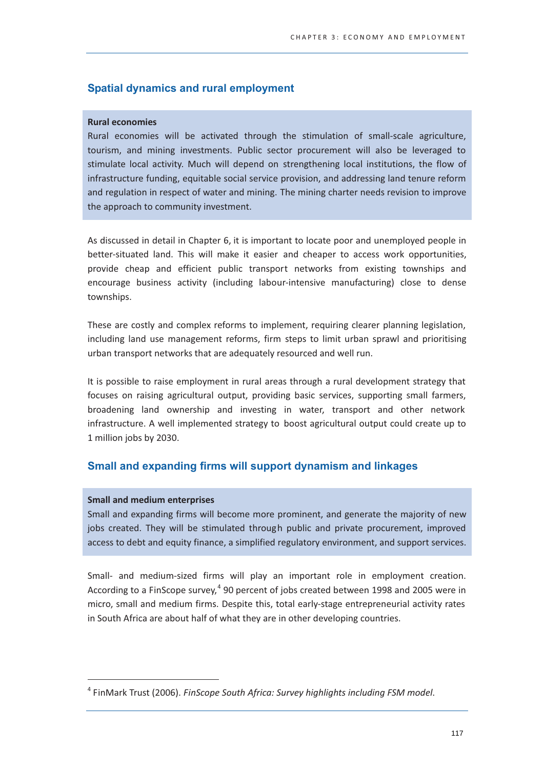# **Spatial dynamics and rural employment**

#### **Rural economies**

Rural economies will be activated through the stimulation of small-scale agriculture, tourism, and mining investments. Public sector procurement will also be leveraged to stimulate local activity. Much will depend on strengthening local institutions, the flow of infrastructure funding, equitable social service provision, and addressing land tenure reform and regulation in respect of water and mining. The mining charter needs revision to improve the approach to community investment.

As discussed in detail in Chapter 6, it is important to locate poor and unemployed people in better-situated land. This will make it easier and cheaper to access work opportunities, provide cheap and efficient public transport networks from existing townships and encourage business activity (including labour-intensive manufacturing) close to dense townships.

These are costly and complex reforms to implement, requiring clearer planning legislation, including land use management reforms, firm steps to limit urban sprawl and prioritising urban transport networks that are adequately resourced and well run.

It is possible to raise employment in rural areas through a rural development strategy that focuses on raising agricultural output, providing basic services, supporting small farmers, broadening land ownership and investing in water, transport and other network infrastructure. A well implemented strategy to boost agricultural output could create up to 1 million jobs by 2030.

# Small and expanding firms will support dynamism and linkages

#### **Small and medium enterprises**

Small and expanding firms will become more prominent, and generate the majority of new jobs created. They will be stimulated through public and private procurement, improved access to debt and equity finance, a simplified regulatory environment, and support services.

Small- and medium-sized firms will play an important role in employment creation. According to a FinScope survey,<sup>4</sup> 90 percent of jobs created between 1998 and 2005 were in micro, small and medium firms. Despite this, total early-stage entrepreneurial activity rates in South Africa are about half of what they are in other developing countries.

<sup>&</sup>lt;sup>4</sup> FinMark Trust (2006). FinScope South Africa: Survey highlights including FSM model.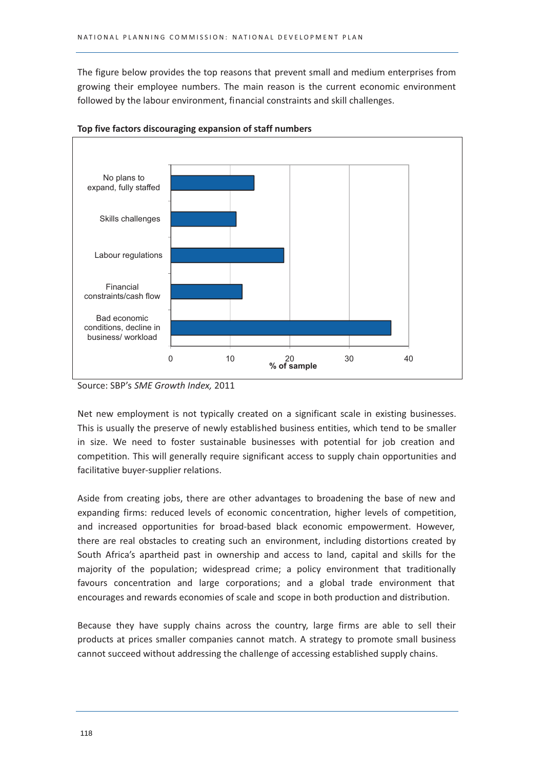The figure below provides the top reasons that prevent small and medium enterprises from growing their employee numbers. The main reason is the current economic environment followed by the labour environment, financial constraints and skill challenges.



#### Top five factors discouraging expansion of staff numbers

Source: SBP's SME Growth Index, 2011

Net new employment is not typically created on a significant scale in existing businesses. This is usually the preserve of newly established business entities, which tend to be smaller in size. We need to foster sustainable businesses with potential for job creation and competition. This will generally require significant access to supply chain opportunities and facilitative buyer-supplier relations.

Aside from creating jobs, there are other advantages to broadening the base of new and expanding firms: reduced levels of economic concentration, higher levels of competition, and increased opportunities for broad-based black economic empowerment. However, there are real obstacles to creating such an environment, including distortions created by South Africa's apartheid past in ownership and access to land, capital and skills for the majority of the population; widespread crime; a policy environment that traditionally favours concentration and large corporations; and a global trade environment that encourages and rewards economies of scale and scope in both production and distribution.

Because they have supply chains across the country, large firms are able to sell their products at prices smaller companies cannot match. A strategy to promote small business cannot succeed without addressing the challenge of accessing established supply chains.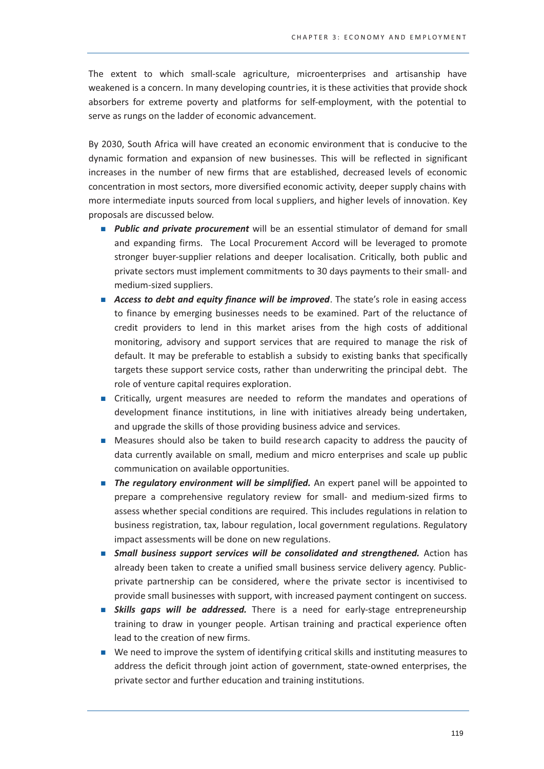The extent to which small-scale agriculture, microenterprises and artisanship have weakened is a concern. In many developing countries, it is these activities that provide shock absorbers for extreme poverty and platforms for self-employment, with the potential to serve as rungs on the ladder of economic advancement.

By 2030, South Africa will have created an economic environment that is conducive to the dynamic formation and expansion of new businesses. This will be reflected in significant increases in the number of new firms that are established, decreased levels of economic concentration in most sectors, more diversified economic activity, deeper supply chains with more intermediate inputs sourced from local suppliers, and higher levels of innovation. Key proposals are discussed below.

- **Public and private procurement** will be an essential stimulator of demand for small and expanding firms. The Local Procurement Accord will be leveraged to promote stronger buyer-supplier relations and deeper localisation. Critically, both public and private sectors must implement commitments to 30 days payments to their small- and medium-sized suppliers.
- Access to debt and equity finance will be improved. The state's role in easing access to finance by emerging businesses needs to be examined. Part of the reluctance of credit providers to lend in this market arises from the high costs of additional monitoring, advisory and support services that are required to manage the risk of default. It may be preferable to establish a subsidy to existing banks that specifically targets these support service costs, rather than underwriting the principal debt. The role of venture capital requires exploration.
- Critically, urgent measures are needed to reform the mandates and operations of development finance institutions, in line with initiatives already being undertaken, and upgrade the skills of those providing business advice and services.
- $\mathbf{r}$ Measures should also be taken to build research capacity to address the paucity of data currently available on small, medium and micro enterprises and scale up public communication on available opportunities.
- The regulatory environment will be simplified. An expert panel will be appointed to prepare a comprehensive regulatory review for small- and medium-sized firms to assess whether special conditions are required. This includes regulations in relation to business registration, tax, labour regulation, local government regulations. Regulatory impact assessments will be done on new regulations.
- **Small business support services will be consolidated and strengthened.** Action has already been taken to create a unified small business service delivery agency. Publicprivate partnership can be considered, where the private sector is incentivised to provide small businesses with support, with increased payment contingent on success.
- **Skills gaps will be addressed.** There is a need for early-stage entrepreneurship training to draw in younger people. Artisan training and practical experience often lead to the creation of new firms.
- We need to improve the system of identifying critical skills and instituting measures to address the deficit through joint action of government, state-owned enterprises, the private sector and further education and training institutions.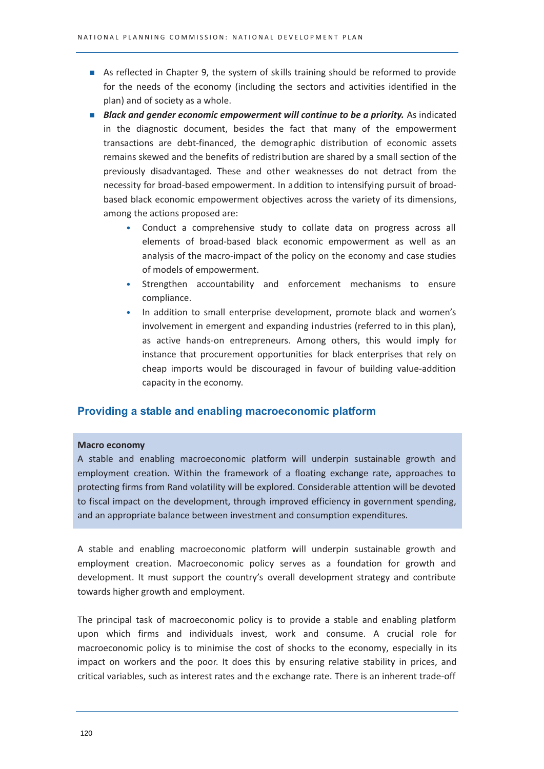- As reflected in Chapter 9, the system of skills training should be reformed to provide for the needs of the economy (including the sectors and activities identified in the plan) and of society as a whole.
- **Black and gender economic empowerment will continue to be a priority.** As indicated in the diagnostic document, besides the fact that many of the empowerment transactions are debt-financed, the demographic distribution of economic assets remains skewed and the benefits of redistribution are shared by a small section of the previously disadvantaged. These and other weaknesses do not detract from the necessity for broad-based empowerment. In addition to intensifying pursuit of broadbased black economic empowerment objectives across the variety of its dimensions, among the actions proposed are:
	- Conduct a comprehensive study to collate data on progress across all  $\bullet$ elements of broad-based black economic empowerment as well as an analysis of the macro-impact of the policy on the economy and case studies of models of empowerment.
	- Strengthen accountability and enforcement mechanisms to ensure  $\bullet$ compliance.
	- $\bullet$ In addition to small enterprise development, promote black and women's involvement in emergent and expanding industries (referred to in this plan), as active hands-on entrepreneurs. Among others, this would imply for instance that procurement opportunities for black enterprises that rely on cheap imports would be discouraged in favour of building value-addition capacity in the economy.

# Providing a stable and enabling macroeconomic platform

#### **Macro economy**

A stable and enabling macroeconomic platform will underpin sustainable growth and employment creation. Within the framework of a floating exchange rate, approaches to protecting firms from Rand volatility will be explored. Considerable attention will be devoted to fiscal impact on the development, through improved efficiency in government spending, and an appropriate balance between investment and consumption expenditures.

A stable and enabling macroeconomic platform will underpin sustainable growth and employment creation. Macroeconomic policy serves as a foundation for growth and development. It must support the country's overall development strategy and contribute towards higher growth and employment.

The principal task of macroeconomic policy is to provide a stable and enabling platform upon which firms and individuals invest, work and consume. A crucial role for macroeconomic policy is to minimise the cost of shocks to the economy, especially in its impact on workers and the poor. It does this by ensuring relative stability in prices, and critical variables, such as interest rates and the exchange rate. There is an inherent trade-off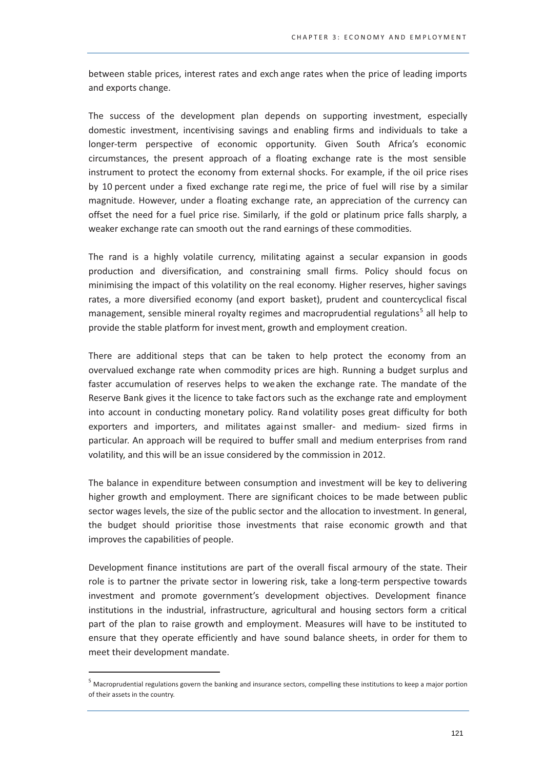between stable prices, interest rates and exchange rates when the price of leading imports and exports change.

The success of the development plan depends on supporting investment, especially domestic investment, incentivising savings and enabling firms and individuals to take a longer-term perspective of economic opportunity. Given South Africa's economic circumstances, the present approach of a floating exchange rate is the most sensible instrument to protect the economy from external shocks. For example, if the oil price rises by 10 percent under a fixed exchange rate regime, the price of fuel will rise by a similar magnitude. However, under a floating exchange rate, an appreciation of the currency can offset the need for a fuel price rise. Similarly, if the gold or platinum price falls sharply, a weaker exchange rate can smooth out the rand earnings of these commodities.

The rand is a highly volatile currency, militating against a secular expansion in goods production and diversification, and constraining small firms. Policy should focus on minimising the impact of this volatility on the real economy. Higher reserves, higher savings rates, a more diversified economy (and export basket), prudent and countercyclical fiscal management, sensible mineral royalty regimes and macroprudential regulations<sup>5</sup> all help to provide the stable platform for invest ment, growth and employment creation.

There are additional steps that can be taken to help protect the economy from an overvalued exchange rate when commodity prices are high. Running a budget surplus and faster accumulation of reserves helps to weaken the exchange rate. The mandate of the Reserve Bank gives it the licence to take factors such as the exchange rate and employment into account in conducting monetary policy. Rand volatility poses great difficulty for both exporters and importers, and militates against smaller- and medium- sized firms in particular. An approach will be required to buffer small and medium enterprises from rand volatility, and this will be an issue considered by the commission in 2012.

The balance in expenditure between consumption and investment will be key to delivering higher growth and employment. There are significant choices to be made between public sector wages levels, the size of the public sector and the allocation to investment. In general, the budget should prioritise those investments that raise economic growth and that improves the capabilities of people.

Development finance institutions are part of the overall fiscal armoury of the state. Their role is to partner the private sector in lowering risk, take a long-term perspective towards investment and promote government's development objectives. Development finance institutions in the industrial, infrastructure, agricultural and housing sectors form a critical part of the plan to raise growth and employment. Measures will have to be instituted to ensure that they operate efficiently and have sound balance sheets, in order for them to meet their development mandate.

 $<sup>5</sup>$  Macroprudential regulations govern the banking and insurance sectors, compelling these institutions to keep a major portion</sup> of their assets in the country.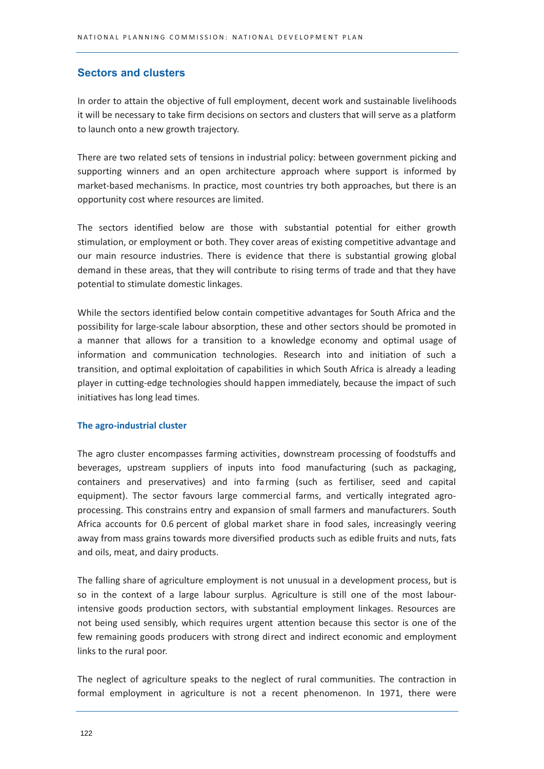# **Sectors and clusters**

In order to attain the objective of full employment, decent work and sustainable livelihoods it will be necessary to take firm decisions on sectors and clusters that will serve as a platform to launch onto a new growth trajectory.

There are two related sets of tensions in industrial policy: between government picking and supporting winners and an open architecture approach where support is informed by market-based mechanisms. In practice, most countries try both approaches, but there is an opportunity cost where resources are limited.

The sectors identified below are those with substantial potential for either growth stimulation, or employment or both. They cover areas of existing competitive advantage and our main resource industries. There is evidence that there is substantial growing global demand in these areas, that they will contribute to rising terms of trade and that they have potential to stimulate domestic linkages.

While the sectors identified below contain competitive advantages for South Africa and the possibility for large-scale labour absorption, these and other sectors should be promoted in a manner that allows for a transition to a knowledge economy and optimal usage of information and communication technologies. Research into and initiation of such a transition, and optimal exploitation of capabilities in which South Africa is already a leading player in cutting-edge technologies should happen immediately, because the impact of such initiatives has long lead times.

# The agro-industrial cluster

The agro cluster encompasses farming activities, downstream processing of foodstuffs and beverages, upstream suppliers of inputs into food manufacturing (such as packaging, containers and preservatives) and into farming (such as fertiliser, seed and capital equipment). The sector favours large commercial farms, and vertically integrated agroprocessing. This constrains entry and expansion of small farmers and manufacturers. South Africa accounts for 0.6 percent of global market share in food sales, increasingly veering away from mass grains towards more diversified products such as edible fruits and nuts, fats and oils, meat, and dairy products.

The falling share of agriculture employment is not unusual in a development process, but is so in the context of a large labour surplus. Agriculture is still one of the most labourintensive goods production sectors, with substantial employment linkages. Resources are not being used sensibly, which requires urgent attention because this sector is one of the few remaining goods producers with strong direct and indirect economic and employment links to the rural poor.

The neglect of agriculture speaks to the neglect of rural communities. The contraction in formal employment in agriculture is not a recent phenomenon. In 1971, there were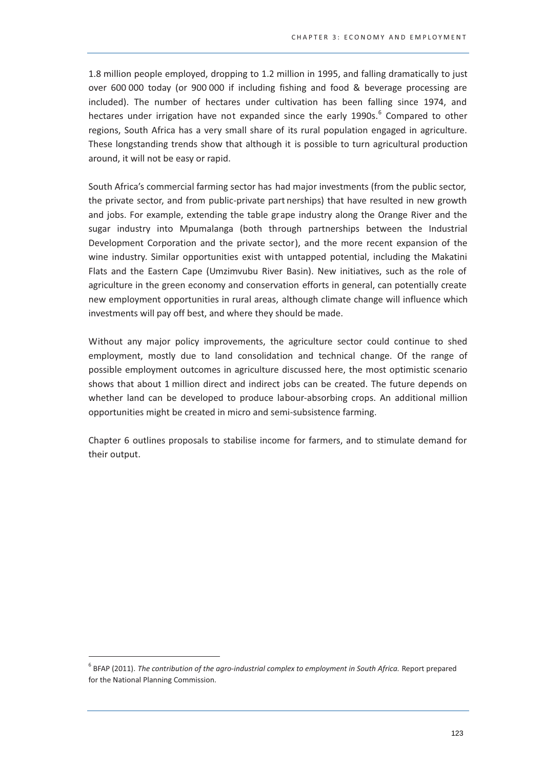1.8 million people employed, dropping to 1.2 million in 1995, and falling dramatically to just over 600 000 today (or 900 000 if including fishing and food & beverage processing are included). The number of hectares under cultivation has been falling since 1974, and hectares under irrigation have not expanded since the early 1990s.<sup>6</sup> Compared to other regions, South Africa has a very small share of its rural population engaged in agriculture. These longstanding trends show that although it is possible to turn agricultural production around, it will not be easy or rapid.

South Africa's commercial farming sector has had maior investments (from the public sector. the private sector, and from public-private part nerships) that have resulted in new growth and jobs. For example, extending the table grape industry along the Orange River and the sugar industry into Mpumalanga (both through partnerships between the Industrial Development Corporation and the private sector), and the more recent expansion of the wine industry. Similar opportunities exist with untapped potential, including the Makatini Flats and the Eastern Cape (Umzimvubu River Basin). New initiatives, such as the role of agriculture in the green economy and conservation efforts in general, can potentially create new employment opportunities in rural areas, although climate change will influence which investments will pay off best, and where they should be made.

Without any major policy improvements, the agriculture sector could continue to shed employment, mostly due to land consolidation and technical change. Of the range of possible employment outcomes in agriculture discussed here, the most optimistic scenario shows that about 1 million direct and indirect jobs can be created. The future depends on whether land can be developed to produce labour-absorbing crops. An additional million opportunities might be created in micro and semi-subsistence farming.

Chapter 6 outlines proposals to stabilise income for farmers, and to stimulate demand for their output.

 $6$  BFAP (2011). The contribution of the agro-industrial complex to employment in South Africa. Report prepared for the National Planning Commission.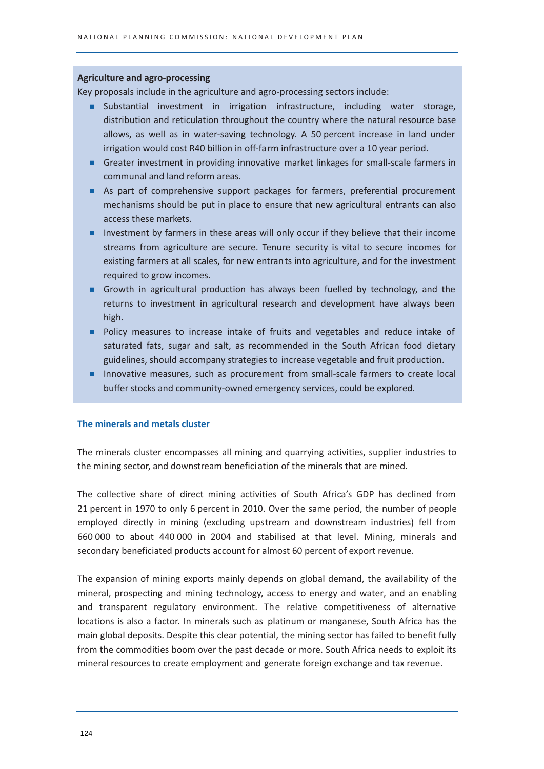## **Agriculture and agro-processing**

Key proposals include in the agriculture and agro-processing sectors include:

- Substantial investment in irrigation infrastructure, including water storage, distribution and reticulation throughout the country where the natural resource base allows, as well as in water-saving technology. A 50 percent increase in land under irrigation would cost R40 billion in off-farm infrastructure over a 10 year period.
- Greater investment in providing innovative market linkages for small-scale farmers in communal and land reform areas.
- As part of comprehensive support packages for farmers, preferential procurement mechanisms should be put in place to ensure that new agricultural entrants can also access these markets.
- Investment by farmers in these areas will only occur if they believe that their income streams from agriculture are secure. Tenure security is vital to secure incomes for existing farmers at all scales, for new entrants into agriculture, and for the investment required to grow incomes.
- Growth in agricultural production has always been fuelled by technology, and the returns to investment in agricultural research and development have always been high.
- Policy measures to increase intake of fruits and vegetables and reduce intake of saturated fats, sugar and salt, as recommended in the South African food dietary guidelines, should accompany strategies to increase vegetable and fruit production.
- Innovative measures, such as procurement from small-scale farmers to create local buffer stocks and community-owned emergency services, could be explored.

# The minerals and metals cluster

The minerals cluster encompasses all mining and quarrying activities, supplier industries to the mining sector, and downstream beneficiation of the minerals that are mined.

The collective share of direct mining activities of South Africa's GDP has declined from 21 percent in 1970 to only 6 percent in 2010. Over the same period, the number of people employed directly in mining (excluding upstream and downstream industries) fell from 660 000 to about 440 000 in 2004 and stabilised at that level. Mining, minerals and secondary beneficiated products account for almost 60 percent of export revenue.

The expansion of mining exports mainly depends on global demand, the availability of the mineral, prospecting and mining technology, access to energy and water, and an enabling and transparent regulatory environment. The relative competitiveness of alternative locations is also a factor. In minerals such as platinum or manganese, South Africa has the main global deposits. Despite this clear potential, the mining sector has failed to benefit fully from the commodities boom over the past decade or more. South Africa needs to exploit its mineral resources to create employment and generate foreign exchange and tax revenue.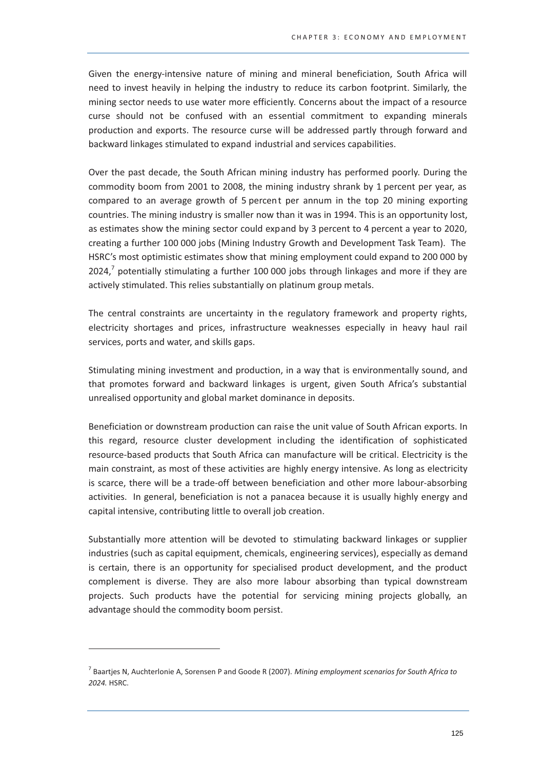Given the energy-intensive nature of mining and mineral beneficiation, South Africa will need to invest heavily in helping the industry to reduce its carbon footprint. Similarly, the mining sector needs to use water more efficiently. Concerns about the impact of a resource curse should not be confused with an essential commitment to expanding minerals production and exports. The resource curse will be addressed partly through forward and backward linkages stimulated to expand industrial and services capabilities.

Over the past decade, the South African mining industry has performed poorly. During the commodity boom from 2001 to 2008, the mining industry shrank by 1 percent per year, as compared to an average growth of 5 percent per annum in the top 20 mining exporting countries. The mining industry is smaller now than it was in 1994. This is an opportunity lost, as estimates show the mining sector could expand by 3 percent to 4 percent a year to 2020, creating a further 100 000 jobs (Mining Industry Growth and Development Task Team). The HSRC's most optimistic estimates show that mining employment could expand to 200 000 by  $2024<sup>7</sup>$  potentially stimulating a further 100 000 jobs through linkages and more if they are actively stimulated. This relies substantially on platinum group metals.

The central constraints are uncertainty in the regulatory framework and property rights, electricity shortages and prices, infrastructure weaknesses especially in heavy haul rail services, ports and water, and skills gaps.

Stimulating mining investment and production, in a way that is environmentally sound, and that promotes forward and backward linkages is urgent, given South Africa's substantial unrealised opportunity and global market dominance in deposits.

Beneficiation or downstream production can raise the unit value of South African exports. In this regard, resource cluster development including the identification of sophisticated resource-based products that South Africa can manufacture will be critical. Electricity is the main constraint, as most of these activities are highly energy intensive. As long as electricity is scarce, there will be a trade-off between beneficiation and other more labour-absorbing activities. In general, beneficiation is not a panacea because it is usually highly energy and capital intensive, contributing little to overall job creation.

Substantially more attention will be devoted to stimulating backward linkages or supplier industries (such as capital equipment, chemicals, engineering services), especially as demand is certain, there is an opportunity for specialised product development, and the product complement is diverse. They are also more labour absorbing than typical downstream projects. Such products have the potential for servicing mining projects globally, an advantage should the commodity boom persist.

 $^7$  Baartjes N, Auchterlonie A, Sorensen P and Goode R (2007). Mining employment scenarios for South Africa to 2024. HSRC.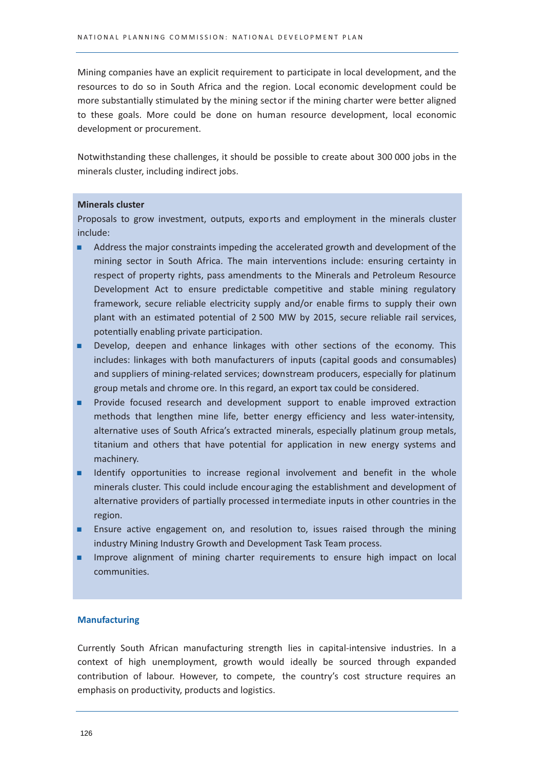Mining companies have an explicit requirement to participate in local development, and the resources to do so in South Africa and the region. Local economic development could be more substantially stimulated by the mining sector if the mining charter were better aligned to these goals. More could be done on human resource development, local economic development or procurement.

Notwithstanding these challenges, it should be possible to create about 300 000 jobs in the minerals cluster, including indirect jobs.

#### **Minerals cluster**

Proposals to grow investment, outputs, exports and employment in the minerals cluster include:

- Address the major constraints impeding the accelerated growth and development of the mining sector in South Africa. The main interventions include: ensuring certainty in respect of property rights, pass amendments to the Minerals and Petroleum Resource Development Act to ensure predictable competitive and stable mining regulatory framework, secure reliable electricity supply and/or enable firms to supply their own plant with an estimated potential of 2500 MW by 2015, secure reliable rail services, potentially enabling private participation.
- Develop, deepen and enhance linkages with other sections of the economy. This includes: linkages with both manufacturers of inputs (capital goods and consumables) and suppliers of mining-related services; downstream producers, especially for platinum group metals and chrome ore. In this regard, an export tax could be considered.
- Provide focused research and development support to enable improved extraction methods that lengthen mine life, better energy efficiency and less water-intensity, alternative uses of South Africa's extracted minerals, especially platinum group metals, titanium and others that have potential for application in new energy systems and machinery.
- Identify opportunities to increase regional involvement and benefit in the whole minerals cluster. This could include encouraging the establishment and development of alternative providers of partially processed intermediate inputs in other countries in the region.
- Ensure active engagement on, and resolution to, issues raised through the mining industry Mining Industry Growth and Development Task Team process.
- Improve alignment of mining charter requirements to ensure high impact on local communities.

#### **Manufacturing**

Currently South African manufacturing strength lies in capital-intensive industries. In a context of high unemployment, growth would ideally be sourced through expanded contribution of labour. However, to compete, the country's cost structure requires an emphasis on productivity, products and logistics.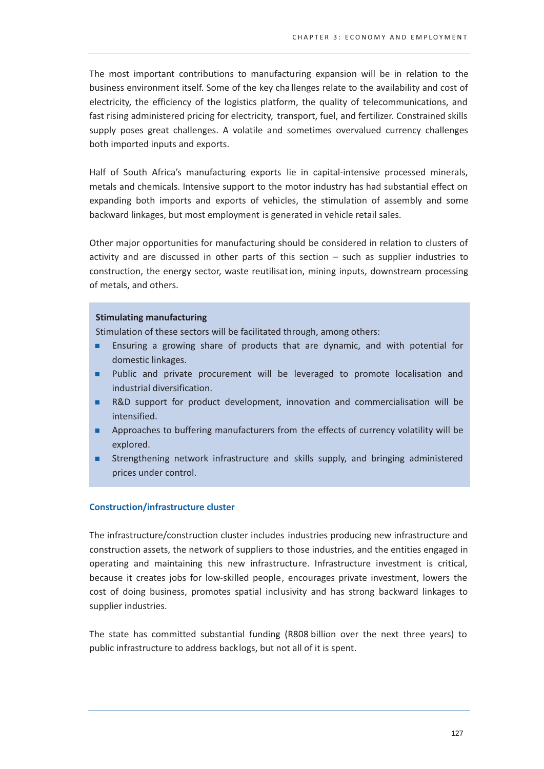The most important contributions to manufacturing expansion will be in relation to the business environment itself. Some of the key challenges relate to the availability and cost of electricity, the efficiency of the logistics platform, the quality of telecommunications, and fast rising administered pricing for electricity, transport, fuel, and fertilizer. Constrained skills supply poses great challenges. A volatile and sometimes overvalued currency challenges both imported inputs and exports.

Half of South Africa's manufacturing exports lie in capital-intensive processed minerals, metals and chemicals. Intensive support to the motor industry has had substantial effect on expanding both imports and exports of vehicles, the stimulation of assembly and some backward linkages, but most employment is generated in vehicle retail sales.

Other major opportunities for manufacturing should be considered in relation to clusters of activity and are discussed in other parts of this section  $-$  such as supplier industries to construction, the energy sector, waste reutilisation, mining inputs, downstream processing of metals, and others.

#### **Stimulating manufacturing**

Stimulation of these sectors will be facilitated through, among others:

- Ensuring a growing share of products that are dynamic, and with potential for ٠ domestic linkages.
- Public and private procurement will be leveraged to promote localisation and ٠ industrial diversification.
- R&D support for product development, innovation and commercialisation will be intensified.
- ٠ Approaches to buffering manufacturers from the effects of currency volatility will be explored.
- Strengthening network infrastructure and skills supply, and bringing administered prices under control.

# **Construction/infrastructure cluster**

The infrastructure/construction cluster includes industries producing new infrastructure and construction assets, the network of suppliers to those industries, and the entities engaged in operating and maintaining this new infrastructure. Infrastructure investment is critical, because it creates jobs for low-skilled people, encourages private investment, lowers the cost of doing business, promotes spatial inclusivity and has strong backward linkages to supplier industries.

The state has committed substantial funding (R808 billion over the next three years) to public infrastructure to address backlogs, but not all of it is spent.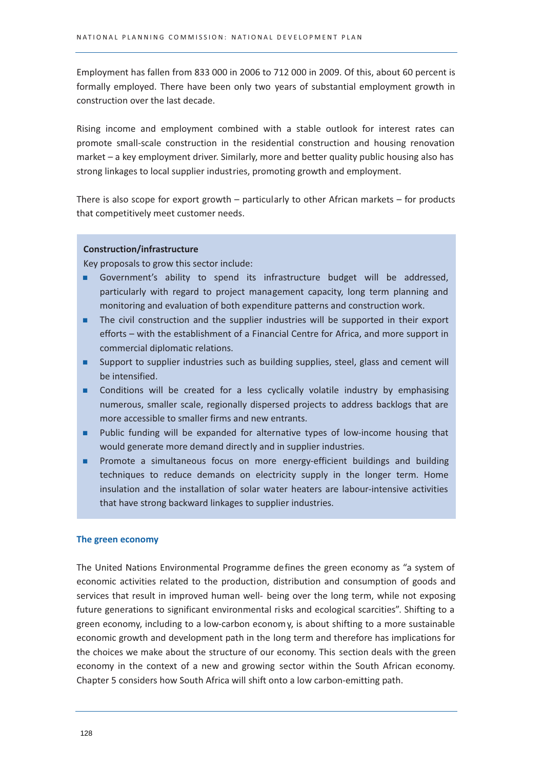Employment has fallen from 833 000 in 2006 to 712 000 in 2009. Of this, about 60 percent is formally employed. There have been only two years of substantial employment growth in construction over the last decade.

Rising income and employment combined with a stable outlook for interest rates can promote small-scale construction in the residential construction and housing renovation market - a key employment driver. Similarly, more and better quality public housing also has strong linkages to local supplier industries, promoting growth and employment.

There is also scope for export growth  $-$  particularly to other African markets  $-$  for products that competitively meet customer needs.

#### **Construction/infrastructure**

Key proposals to grow this sector include:

- Government's ability to spend its infrastructure budget will be addressed, н. particularly with regard to project management capacity, long term planning and monitoring and evaluation of both expenditure patterns and construction work.
- The civil construction and the supplier industries will be supported in their export ٠ efforts - with the establishment of a Financial Centre for Africa, and more support in commercial diplomatic relations.
- Support to supplier industries such as building supplies, steel, glass and cement will be intensified.
- Conditions will be created for a less cyclically volatile industry by emphasising m. numerous, smaller scale, regionally dispersed projects to address backlogs that are more accessible to smaller firms and new entrants.
- Public funding will be expanded for alternative types of low-income housing that ٠ would generate more demand directly and in supplier industries.
- Promote a simultaneous focus on more energy-efficient buildings and building ٠ techniques to reduce demands on electricity supply in the longer term. Home insulation and the installation of solar water heaters are labour-intensive activities that have strong backward linkages to supplier industries.

#### The green economy

The United Nations Environmental Programme defines the green economy as "a system of economic activities related to the production, distribution and consumption of goods and services that result in improved human well- being over the long term, while not exposing future generations to significant environmental risks and ecological scarcities". Shifting to a green economy, including to a low-carbon economy, is about shifting to a more sustainable economic growth and development path in the long term and therefore has implications for the choices we make about the structure of our economy. This section deals with the green economy in the context of a new and growing sector within the South African economy. Chapter 5 considers how South Africa will shift onto a low carbon-emitting path.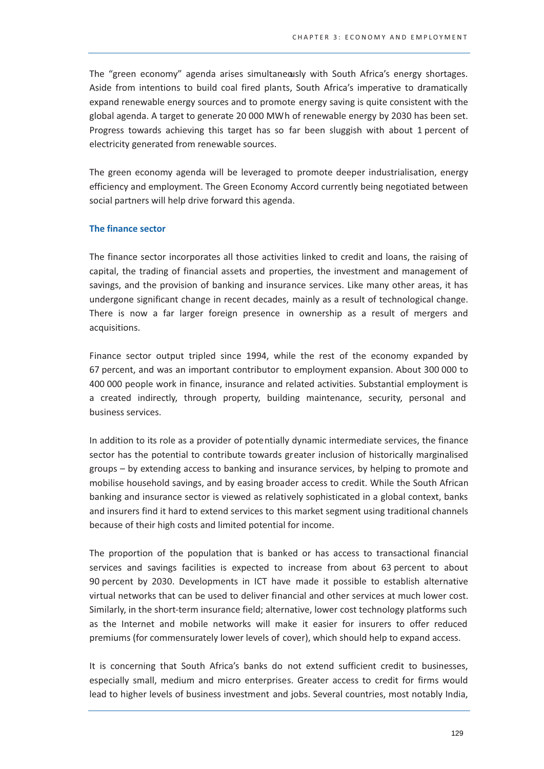The "green economy" agenda arises simultaneously with South Africa's energy shortages. Aside from intentions to build coal fired plants, South Africa's imperative to dramatically expand renewable energy sources and to promote energy saving is quite consistent with the global agenda. A target to generate 20 000 MWh of renewable energy by 2030 has been set. Progress towards achieving this target has so far been sluggish with about 1 percent of electricity generated from renewable sources.

The green economy agenda will be leveraged to promote deeper industrialisation, energy efficiency and employment. The Green Economy Accord currently being negotiated between social partners will help drive forward this agenda.

#### The finance sector

The finance sector incorporates all those activities linked to credit and loans, the raising of capital, the trading of financial assets and properties, the investment and management of savings, and the provision of banking and insurance services. Like many other areas, it has undergone significant change in recent decades, mainly as a result of technological change. There is now a far larger foreign presence in ownership as a result of mergers and acquisitions.

Finance sector output tripled since 1994, while the rest of the economy expanded by 67 percent, and was an important contributor to employment expansion. About 300 000 to 400 000 people work in finance, insurance and related activities. Substantial employment is a created indirectly, through property, building maintenance, security, personal and business services.

In addition to its role as a provider of potentially dynamic intermediate services, the finance sector has the potential to contribute towards greater inclusion of historically marginalised groups – by extending access to banking and insurance services, by helping to promote and mobilise household savings, and by easing broader access to credit. While the South African banking and insurance sector is viewed as relatively sophisticated in a global context, banks and insurers find it hard to extend services to this market segment using traditional channels because of their high costs and limited potential for income.

The proportion of the population that is banked or has access to transactional financial services and savings facilities is expected to increase from about 63 percent to about 90 percent by 2030. Developments in ICT have made it possible to establish alternative virtual networks that can be used to deliver financial and other services at much lower cost. Similarly, in the short-term insurance field; alternative, lower cost technology platforms such as the Internet and mobile networks will make it easier for insurers to offer reduced premiums (for commensurately lower levels of cover), which should help to expand access.

It is concerning that South Africa's banks do not extend sufficient credit to businesses. especially small, medium and micro enterprises. Greater access to credit for firms would lead to higher levels of business investment and jobs. Several countries, most notably India,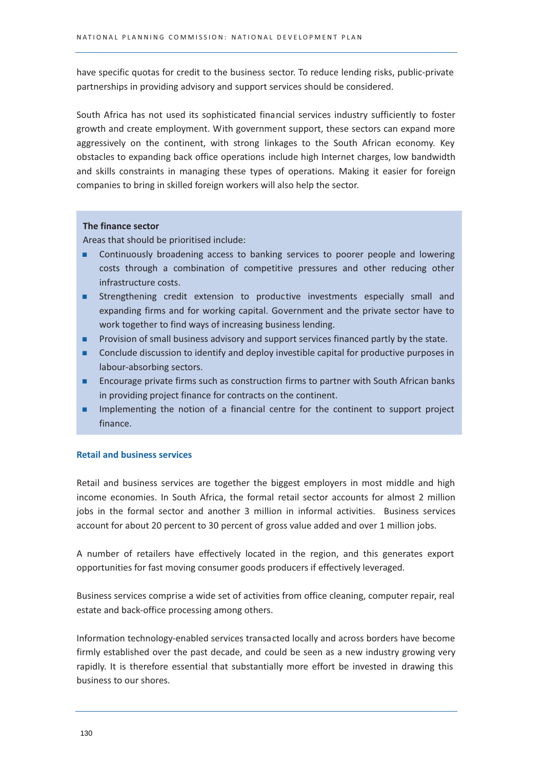have specific quotas for credit to the business sector. To reduce lending risks, public-private partnerships in providing advisory and support services should be considered.

South Africa has not used its sophisticated financial services industry sufficiently to foster growth and create employment. With government support, these sectors can expand more aggressively on the continent, with strong linkages to the South African economy. Key obstacles to expanding back office operations include high Internet charges, low bandwidth and skills constraints in managing these types of operations. Making it easier for foreign companies to bring in skilled foreign workers will also help the sector.

# The finance sector

Areas that should be prioritised include:

- Continuously broadening access to banking services to poorer people and lowering ٠ costs through a combination of competitive pressures and other reducing other infrastructure costs.
- Strengthening credit extension to productive investments especially small and expanding firms and for working capital. Government and the private sector have to work together to find ways of increasing business lending.
- Provision of small business advisory and support services financed partly by the state. ٠
- ٠ Conclude discussion to identify and deploy investible capital for productive purposes in labour-absorbing sectors.
- Encourage private firms such as construction firms to partner with South African banks ٠ in providing project finance for contracts on the continent.
- Implementing the notion of a financial centre for the continent to support project ٠ finance.

## **Retail and business services**

Retail and business services are together the biggest employers in most middle and high income economies. In South Africa, the formal retail sector accounts for almost 2 million jobs in the formal sector and another 3 million in informal activities. Business services account for about 20 percent to 30 percent of gross value added and over 1 million jobs.

A number of retailers have effectively located in the region, and this generates export opportunities for fast moving consumer goods producers if effectively leveraged.

Business services comprise a wide set of activities from office cleaning, computer repair, real estate and back-office processing among others.

Information technology-enabled services transacted locally and across borders have become firmly established over the past decade, and could be seen as a new industry growing very rapidly. It is therefore essential that substantially more effort be invested in drawing this business to our shores.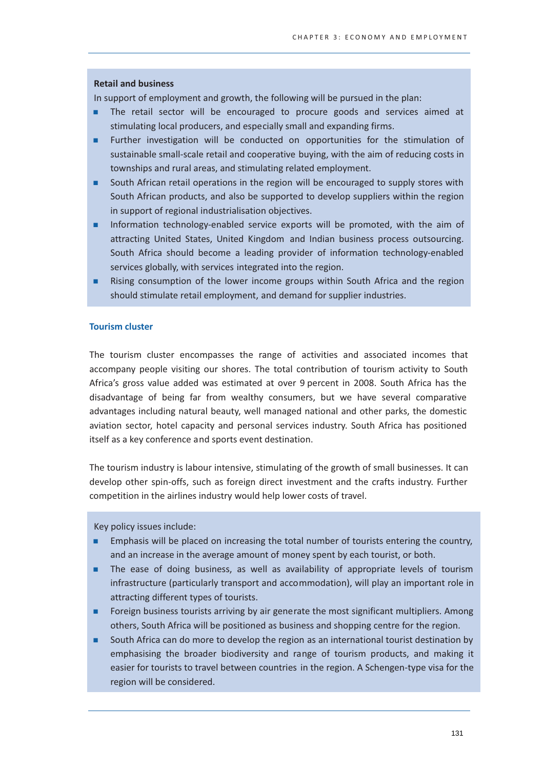#### **Retail and business**

In support of employment and growth, the following will be pursued in the plan:

- The retail sector will be encouraged to procure goods and services aimed at stimulating local producers, and especially small and expanding firms.
- Further investigation will be conducted on opportunities for the stimulation of ٠ sustainable small-scale retail and cooperative buying, with the aim of reducing costs in townships and rural areas, and stimulating related employment.
- South African retail operations in the region will be encouraged to supply stores with South African products, and also be supported to develop suppliers within the region in support of regional industrialisation objectives.
- Information technology-enabled service exports will be promoted, with the aim of attracting United States, United Kingdom and Indian business process outsourcing. South Africa should become a leading provider of information technology-enabled services globally, with services integrated into the region.
- Rising consumption of the lower income groups within South Africa and the region should stimulate retail employment, and demand for supplier industries.

## **Tourism cluster**

The tourism cluster encompasses the range of activities and associated incomes that accompany people visiting our shores. The total contribution of tourism activity to South Africa's gross value added was estimated at over 9 percent in 2008. South Africa has the disadvantage of being far from wealthy consumers, but we have several comparative advantages including natural beauty, well managed national and other parks, the domestic aviation sector, hotel capacity and personal services industry. South Africa has positioned itself as a key conference and sports event destination.

The tourism industry is labour intensive, stimulating of the growth of small businesses. It can develop other spin-offs, such as foreign direct investment and the crafts industry. Further competition in the airlines industry would help lower costs of travel.

Key policy issues include:

- Emphasis will be placed on increasing the total number of tourists entering the country, ٠ and an increase in the average amount of money spent by each tourist, or both.
- The ease of doing business, as well as availability of appropriate levels of tourism infrastructure (particularly transport and accommodation), will play an important role in attracting different types of tourists.
- Foreign business tourists arriving by air generate the most significant multipliers. Among others, South Africa will be positioned as business and shopping centre for the region.
- South Africa can do more to develop the region as an international tourist destination by emphasising the broader biodiversity and range of tourism products, and making it easier for tourists to travel between countries in the region. A Schengen-type visa for the region will be considered.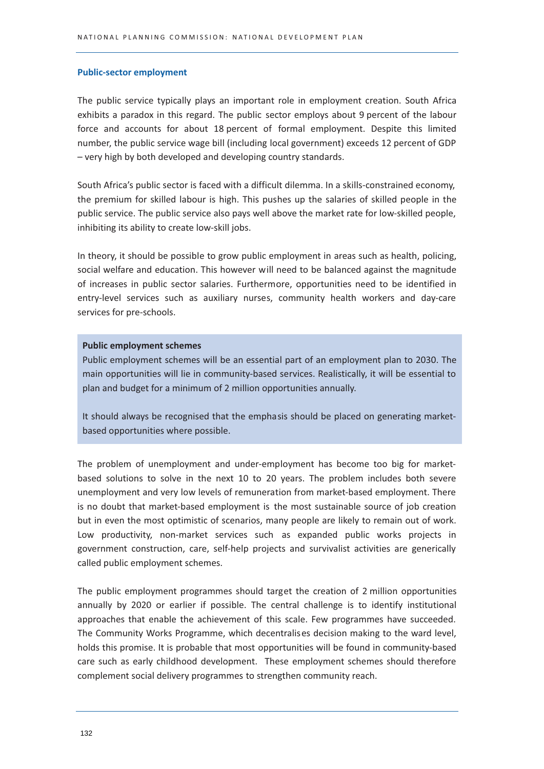#### **Public-sector employment**

The public service typically plays an important role in employment creation. South Africa exhibits a paradox in this regard. The public sector employs about 9 percent of the labour force and accounts for about 18 percent of formal employment. Despite this limited number, the public service wage bill (including local government) exceeds 12 percent of GDP - very high by both developed and developing country standards.

South Africa's public sector is faced with a difficult dilemma. In a skills-constrained economy, the premium for skilled labour is high. This pushes up the salaries of skilled people in the public service. The public service also pays well above the market rate for low-skilled people, inhibiting its ability to create low-skill jobs.

In theory, it should be possible to grow public employment in areas such as health, policing. social welfare and education. This however will need to be balanced against the magnitude of increases in public sector salaries. Furthermore, opportunities need to be identified in entry-level services such as auxiliary nurses, community health workers and day-care services for pre-schools.

#### **Public employment schemes**

Public employment schemes will be an essential part of an employment plan to 2030. The main opportunities will lie in community-based services. Realistically, it will be essential to plan and budget for a minimum of 2 million opportunities annually.

It should always be recognised that the emphasis should be placed on generating marketbased opportunities where possible.

The problem of unemployment and under-employment has become too big for marketbased solutions to solve in the next 10 to 20 years. The problem includes both severe unemployment and very low levels of remuneration from market-based employment. There is no doubt that market-based employment is the most sustainable source of job creation but in even the most optimistic of scenarios, many people are likely to remain out of work. Low productivity, non-market services such as expanded public works projects in government construction, care, self-help projects and survivalist activities are generically called public employment schemes.

The public employment programmes should target the creation of 2 million opportunities annually by 2020 or earlier if possible. The central challenge is to identify institutional approaches that enable the achievement of this scale. Few programmes have succeeded. The Community Works Programme, which decentralises decision making to the ward level, holds this promise. It is probable that most opportunities will be found in community-based care such as early childhood development. These employment schemes should therefore complement social delivery programmes to strengthen community reach.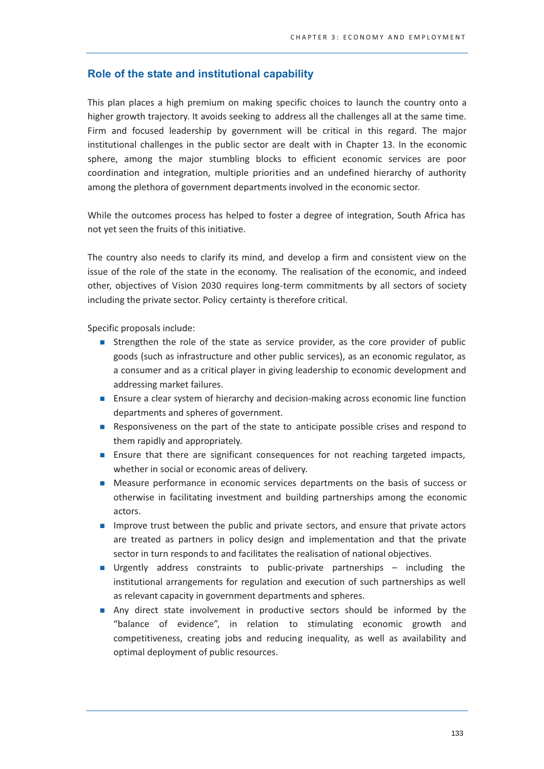# Role of the state and institutional capability

This plan places a high premium on making specific choices to launch the country onto a higher growth trajectory. It avoids seeking to address all the challenges all at the same time. Firm and focused leadership by government will be critical in this regard. The major institutional challenges in the public sector are dealt with in Chapter 13. In the economic sphere, among the major stumbling blocks to efficient economic services are poor coordination and integration, multiple priorities and an undefined hierarchy of authority among the plethora of government departments involved in the economic sector.

While the outcomes process has helped to foster a degree of integration, South Africa has not yet seen the fruits of this initiative.

The country also needs to clarify its mind, and develop a firm and consistent view on the issue of the role of the state in the economy. The realisation of the economic, and indeed other, objectives of Vision 2030 requires long-term commitments by all sectors of society including the private sector. Policy certainty is therefore critical.

Specific proposals include:

- Strengthen the role of the state as service provider, as the core provider of public goods (such as infrastructure and other public services), as an economic regulator, as a consumer and as a critical player in giving leadership to economic development and addressing market failures.
- Ensure a clear system of hierarchy and decision-making across economic line function departments and spheres of government.
- Responsiveness on the part of the state to anticipate possible crises and respond to them rapidly and appropriately.
- **Example 1** Ensure that there are significant consequences for not reaching targeted impacts, whether in social or economic areas of delivery.
- Measure performance in economic services departments on the basis of success or otherwise in facilitating investment and building partnerships among the economic actors.
- Improve trust between the public and private sectors, and ensure that private actors are treated as partners in policy design and implementation and that the private sector in turn responds to and facilitates the realisation of national objectives.
- Urgently address constraints to public-private partnerships including the institutional arrangements for regulation and execution of such partnerships as well as relevant capacity in government departments and spheres.
- Any direct state involvement in productive sectors should be informed by the "balance of evidence", in relation to stimulating economic growth and competitiveness, creating jobs and reducing inequality, as well as availability and optimal deployment of public resources.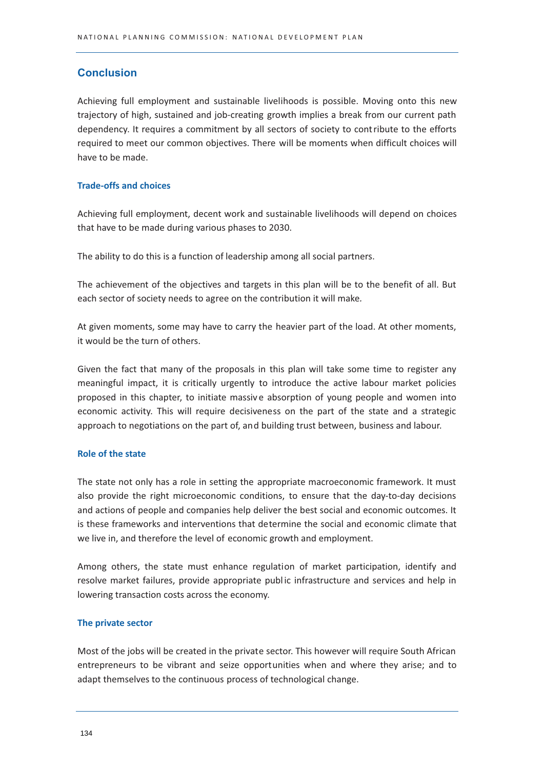# **Conclusion**

Achieving full employment and sustainable livelihoods is possible. Moving onto this new trajectory of high, sustained and job-creating growth implies a break from our current path dependency. It requires a commitment by all sectors of society to contribute to the efforts required to meet our common objectives. There will be moments when difficult choices will have to be made.

# **Trade-offs and choices**

Achieving full employment, decent work and sustainable livelihoods will depend on choices that have to be made during various phases to 2030.

The ability to do this is a function of leadership among all social partners.

The achievement of the objectives and targets in this plan will be to the benefit of all. But each sector of society needs to agree on the contribution it will make.

At given moments, some may have to carry the heavier part of the load. At other moments, it would be the turn of others.

Given the fact that many of the proposals in this plan will take some time to register any meaningful impact, it is critically urgently to introduce the active labour market policies proposed in this chapter, to initiate massive absorption of young people and women into economic activity. This will require decisiveness on the part of the state and a strategic approach to negotiations on the part of, and building trust between, business and labour.

# **Role of the state**

The state not only has a role in setting the appropriate macroeconomic framework. It must also provide the right microeconomic conditions, to ensure that the day-to-day decisions and actions of people and companies help deliver the best social and economic outcomes. It is these frameworks and interventions that determine the social and economic climate that we live in, and therefore the level of economic growth and employment.

Among others, the state must enhance regulation of market participation, identify and resolve market failures, provide appropriate public infrastructure and services and help in lowering transaction costs across the economy.

# The private sector

Most of the jobs will be created in the private sector. This however will require South African entrepreneurs to be vibrant and seize opportunities when and where they arise; and to adapt themselves to the continuous process of technological change.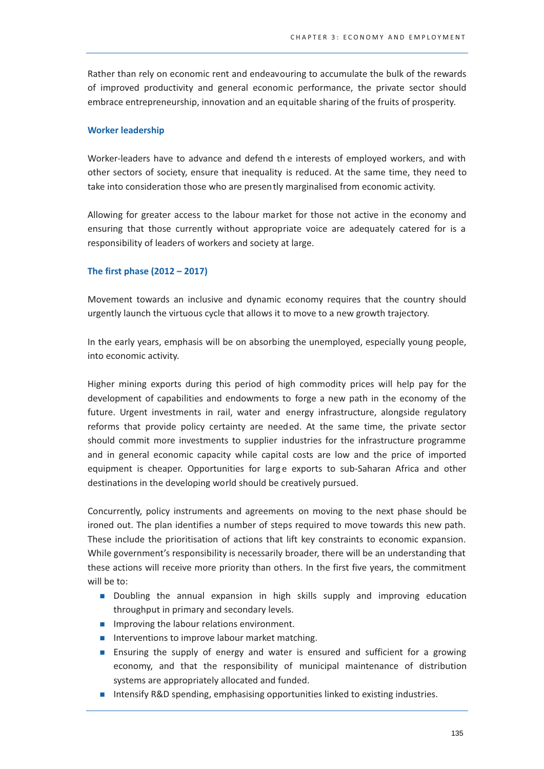Rather than rely on economic rent and endeavouring to accumulate the bulk of the rewards of improved productivity and general economic performance, the private sector should embrace entrepreneurship, innovation and an equitable sharing of the fruits of prosperity.

## **Worker leadership**

Worker-leaders have to advance and defend the interests of employed workers, and with other sectors of society, ensure that inequality is reduced. At the same time, they need to take into consideration those who are presently marginalised from economic activity.

Allowing for greater access to the labour market for those not active in the economy and ensuring that those currently without appropriate voice are adequately catered for is a responsibility of leaders of workers and society at large.

## The first phase (2012 - 2017)

Movement towards an inclusive and dynamic economy requires that the country should urgently launch the virtuous cycle that allows it to move to a new growth trajectory.

In the early years, emphasis will be on absorbing the unemployed, especially young people, into economic activity.

Higher mining exports during this period of high commodity prices will help pay for the development of capabilities and endowments to forge a new path in the economy of the future. Urgent investments in rail, water and energy infrastructure, alongside regulatory reforms that provide policy certainty are needed. At the same time, the private sector should commit more investments to supplier industries for the infrastructure programme and in general economic capacity while capital costs are low and the price of imported equipment is cheaper. Opportunities for large exports to sub-Saharan Africa and other destinations in the developing world should be creatively pursued.

Concurrently, policy instruments and agreements on moving to the next phase should be ironed out. The plan identifies a number of steps required to move towards this new path. These include the prioritisation of actions that lift key constraints to economic expansion. While government's responsibility is necessarily broader, there will be an understanding that these actions will receive more priority than others. In the first five years, the commitment will be to:

- Doubling the annual expansion in high skills supply and improving education throughput in primary and secondary levels.
- Improving the labour relations environment.
- Interventions to improve labour market matching.
- **Example 1** Ensuring the supply of energy and water is ensured and sufficient for a growing economy, and that the responsibility of municipal maintenance of distribution systems are appropriately allocated and funded.
- Intensify R&D spending, emphasising opportunities linked to existing industries.